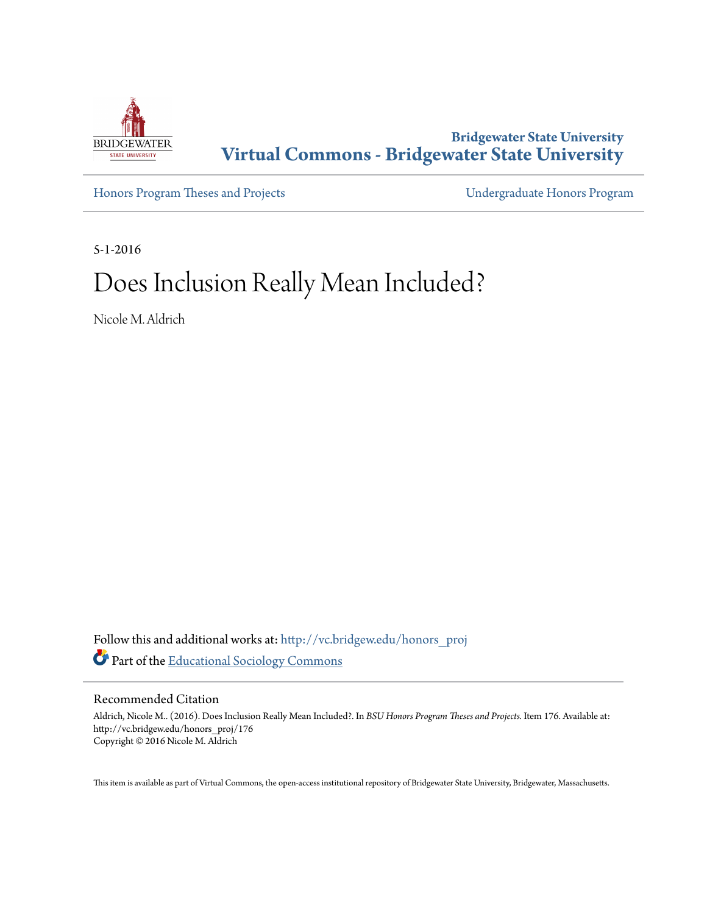

**Bridgewater State University [Virtual Commons - Bridgewater State University](http://vc.bridgew.edu?utm_source=vc.bridgew.edu%2Fhonors_proj%2F176&utm_medium=PDF&utm_campaign=PDFCoverPages)**

[Honors Program Theses and Projects](http://vc.bridgew.edu/honors_proj?utm_source=vc.bridgew.edu%2Fhonors_proj%2F176&utm_medium=PDF&utm_campaign=PDFCoverPages) [Undergraduate Honors Program](http://vc.bridgew.edu/honors?utm_source=vc.bridgew.edu%2Fhonors_proj%2F176&utm_medium=PDF&utm_campaign=PDFCoverPages)

5-1-2016

# Does Inclusion Really Mean Included?

Nicole M. Aldrich

Follow this and additional works at: [http://vc.bridgew.edu/honors\\_proj](http://vc.bridgew.edu/honors_proj?utm_source=vc.bridgew.edu%2Fhonors_proj%2F176&utm_medium=PDF&utm_campaign=PDFCoverPages) Part of the [Educational Sociology Commons](http://network.bepress.com/hgg/discipline/1071?utm_source=vc.bridgew.edu%2Fhonors_proj%2F176&utm_medium=PDF&utm_campaign=PDFCoverPages)

#### Recommended Citation

Aldrich, Nicole M.. (2016). Does Inclusion Really Mean Included?. In *BSU Honors Program Theses and Projects.* Item 176. Available at: http://vc.bridgew.edu/honors\_proj/176 Copyright © 2016 Nicole M. Aldrich

This item is available as part of Virtual Commons, the open-access institutional repository of Bridgewater State University, Bridgewater, Massachusetts.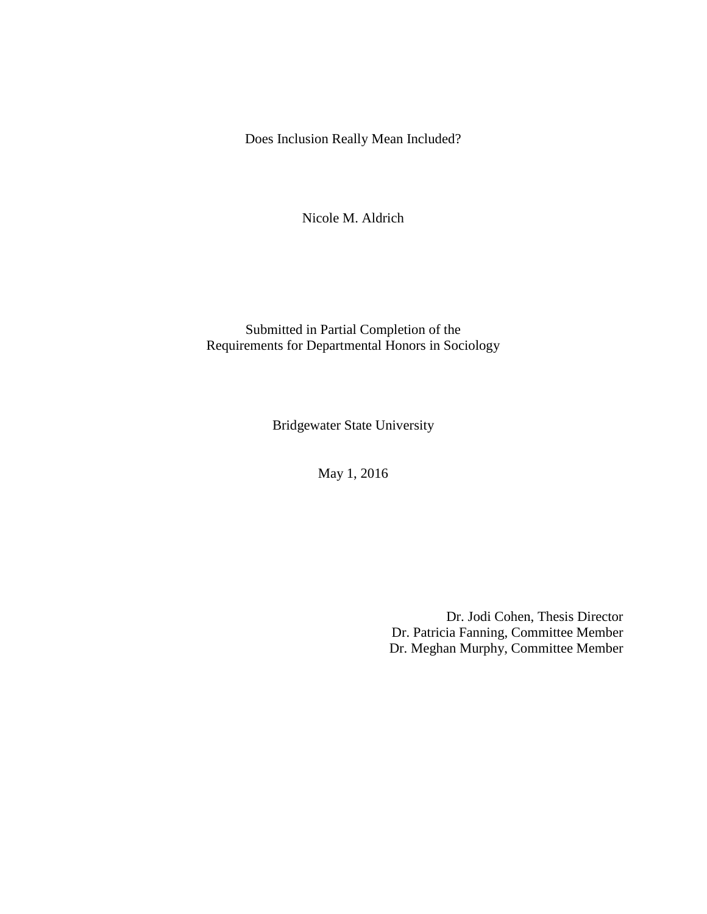Does Inclusion Really Mean Included?

Nicole M. Aldrich

Submitted in Partial Completion of the Requirements for Departmental Honors in Sociology

Bridgewater State University

May 1, 2016

Dr. Jodi Cohen, Thesis Director Dr. Patricia Fanning, Committee Member Dr. Meghan Murphy, Committee Member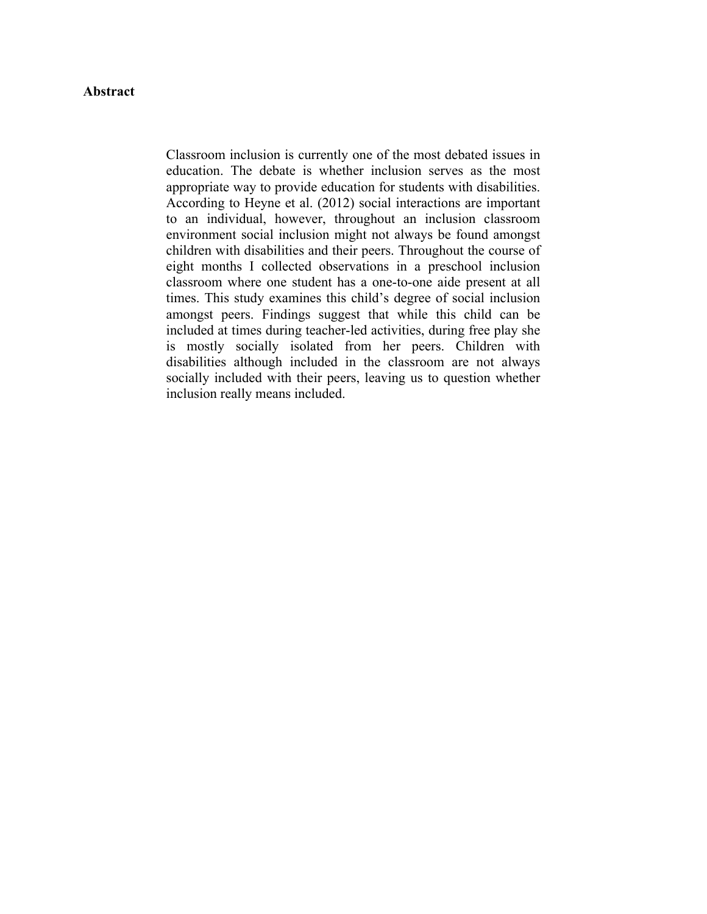# **Abstract**

Classroom inclusion is currently one of the most debated issues in education. The debate is whether inclusion serves as the most appropriate way to provide education for students with disabilities. According to Heyne et al. (2012) social interactions are important to an individual, however, throughout an inclusion classroom environment social inclusion might not always be found amongst children with disabilities and their peers. Throughout the course of eight months I collected observations in a preschool inclusion classroom where one student has a one-to-one aide present at all times. This study examines this child's degree of social inclusion amongst peers. Findings suggest that while this child can be included at times during teacher-led activities, during free play she is mostly socially isolated from her peers. Children with disabilities although included in the classroom are not always socially included with their peers, leaving us to question whether inclusion really means included.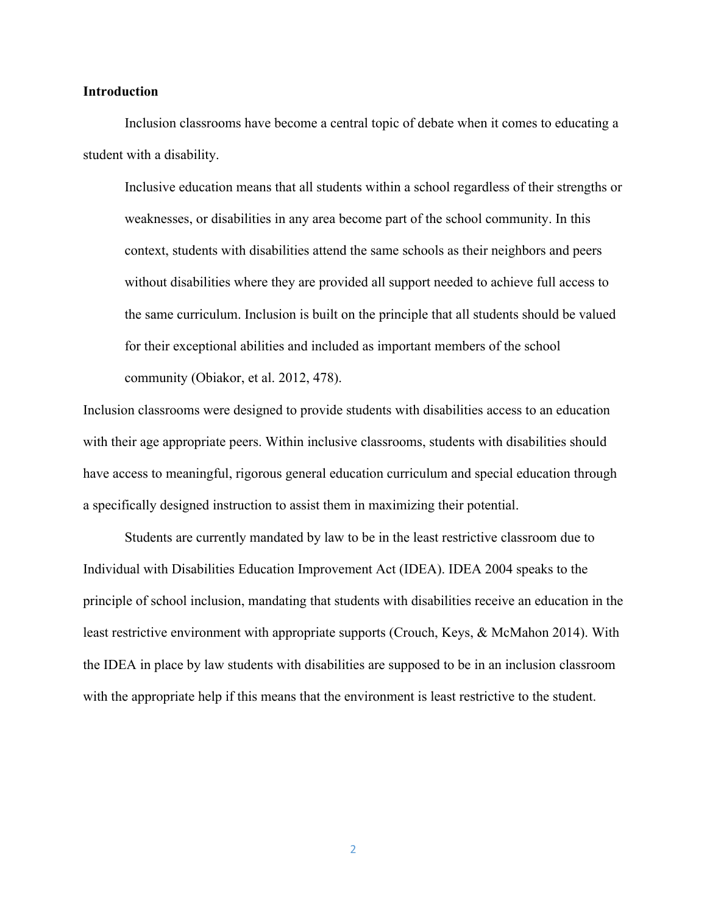#### **Introduction**

Inclusion classrooms have become a central topic of debate when it comes to educating a student with a disability.

Inclusive education means that all students within a school regardless of their strengths or weaknesses, or disabilities in any area become part of the school community. In this context, students with disabilities attend the same schools as their neighbors and peers without disabilities where they are provided all support needed to achieve full access to the same curriculum. Inclusion is built on the principle that all students should be valued for their exceptional abilities and included as important members of the school community (Obiakor, et al. 2012, 478).

Inclusion classrooms were designed to provide students with disabilities access to an education with their age appropriate peers. Within inclusive classrooms, students with disabilities should have access to meaningful, rigorous general education curriculum and special education through a specifically designed instruction to assist them in maximizing their potential.

Students are currently mandated by law to be in the least restrictive classroom due to Individual with Disabilities Education Improvement Act (IDEA). IDEA 2004 speaks to the principle of school inclusion, mandating that students with disabilities receive an education in the least restrictive environment with appropriate supports (Crouch, Keys, & McMahon 2014). With the IDEA in place by law students with disabilities are supposed to be in an inclusion classroom with the appropriate help if this means that the environment is least restrictive to the student.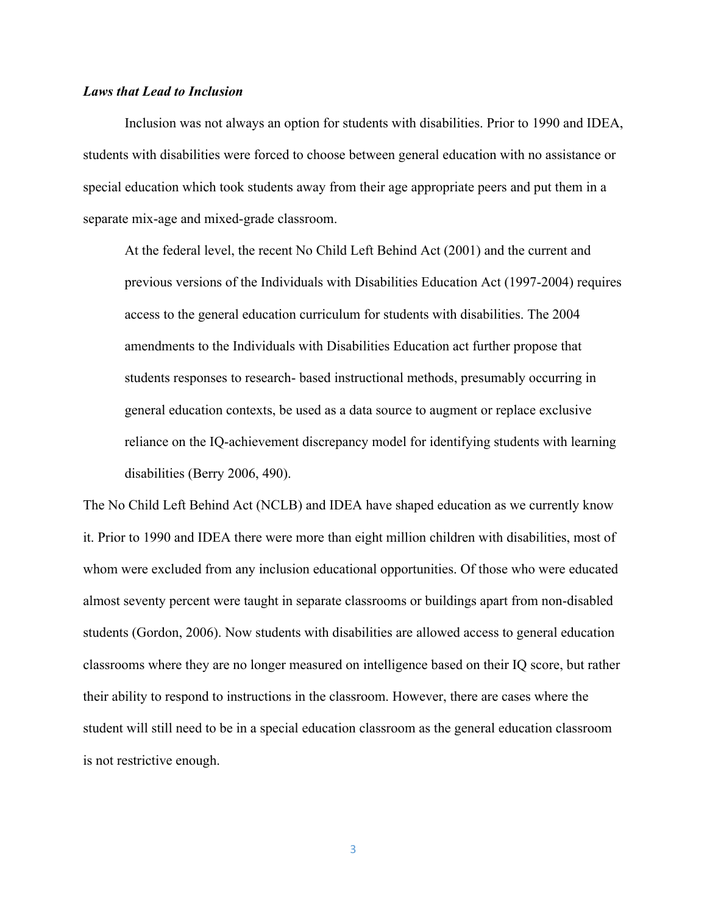# *Laws that Lead to Inclusion*

Inclusion was not always an option for students with disabilities. Prior to 1990 and IDEA, students with disabilities were forced to choose between general education with no assistance or special education which took students away from their age appropriate peers and put them in a separate mix-age and mixed-grade classroom.

At the federal level, the recent No Child Left Behind Act (2001) and the current and previous versions of the Individuals with Disabilities Education Act (1997-2004) requires access to the general education curriculum for students with disabilities. The 2004 amendments to the Individuals with Disabilities Education act further propose that students responses to research- based instructional methods, presumably occurring in general education contexts, be used as a data source to augment or replace exclusive reliance on the IQ-achievement discrepancy model for identifying students with learning disabilities (Berry 2006, 490).

The No Child Left Behind Act (NCLB) and IDEA have shaped education as we currently know it. Prior to 1990 and IDEA there were more than eight million children with disabilities, most of whom were excluded from any inclusion educational opportunities. Of those who were educated almost seventy percent were taught in separate classrooms or buildings apart from non-disabled students (Gordon, 2006). Now students with disabilities are allowed access to general education classrooms where they are no longer measured on intelligence based on their IQ score, but rather their ability to respond to instructions in the classroom. However, there are cases where the student will still need to be in a special education classroom as the general education classroom is not restrictive enough.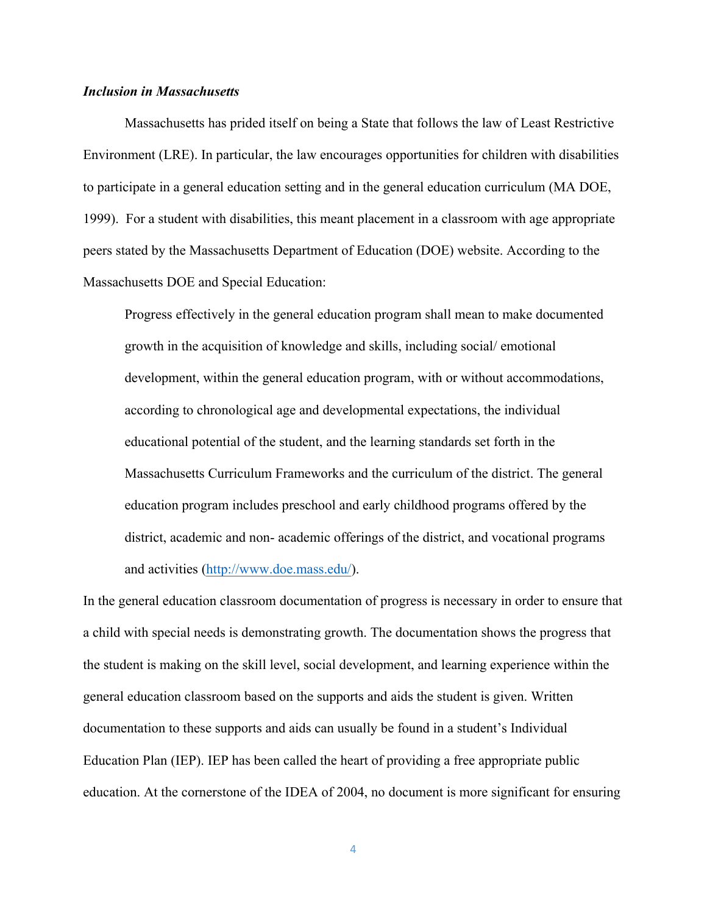# *Inclusion in Massachusetts*

Massachusetts has prided itself on being a State that follows the law of Least Restrictive Environment (LRE). In particular, the law encourages opportunities for children with disabilities to participate in a general education setting and in the general education curriculum (MA DOE, 1999). For a student with disabilities, this meant placement in a classroom with age appropriate peers stated by the Massachusetts Department of Education (DOE) website. According to the Massachusetts DOE and Special Education:

Progress effectively in the general education program shall mean to make documented growth in the acquisition of knowledge and skills, including social/ emotional development, within the general education program, with or without accommodations, according to chronological age and developmental expectations, the individual educational potential of the student, and the learning standards set forth in the Massachusetts Curriculum Frameworks and the curriculum of the district. The general education program includes preschool and early childhood programs offered by the district, academic and non- academic offerings of the district, and vocational programs and activities (http://www.doe.mass.edu/).

In the general education classroom documentation of progress is necessary in order to ensure that a child with special needs is demonstrating growth. The documentation shows the progress that the student is making on the skill level, social development, and learning experience within the general education classroom based on the supports and aids the student is given. Written documentation to these supports and aids can usually be found in a student's Individual Education Plan (IEP). IEP has been called the heart of providing a free appropriate public education. At the cornerstone of the IDEA of 2004, no document is more significant for ensuring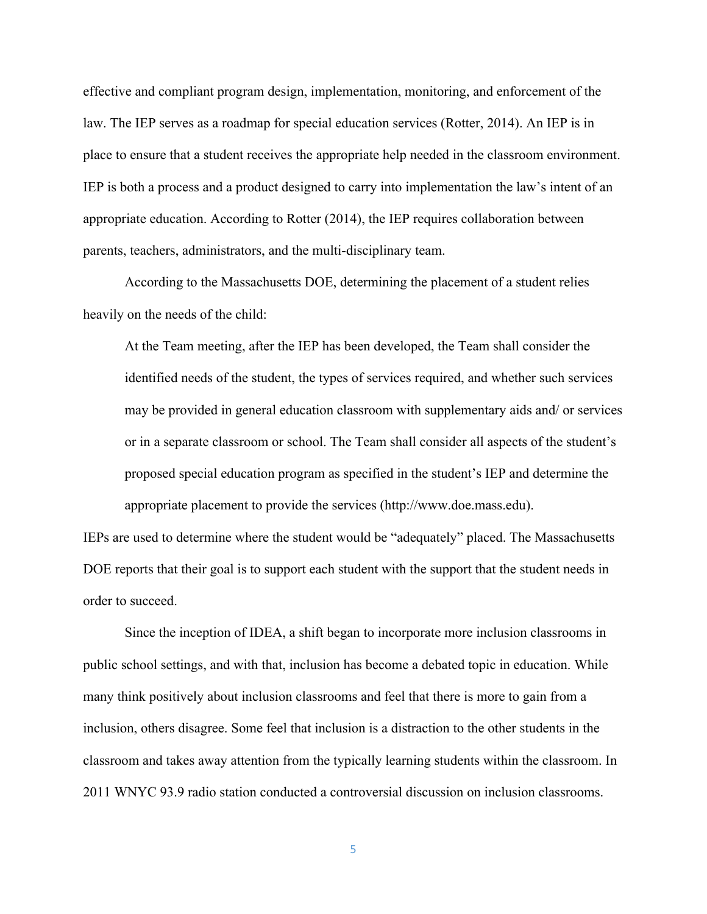effective and compliant program design, implementation, monitoring, and enforcement of the law. The IEP serves as a roadmap for special education services (Rotter, 2014). An IEP is in place to ensure that a student receives the appropriate help needed in the classroom environment. IEP is both a process and a product designed to carry into implementation the law's intent of an appropriate education. According to Rotter (2014), the IEP requires collaboration between parents, teachers, administrators, and the multi-disciplinary team.

According to the Massachusetts DOE, determining the placement of a student relies heavily on the needs of the child:

At the Team meeting, after the IEP has been developed, the Team shall consider the identified needs of the student, the types of services required, and whether such services may be provided in general education classroom with supplementary aids and/ or services or in a separate classroom or school. The Team shall consider all aspects of the student's proposed special education program as specified in the student's IEP and determine the appropriate placement to provide the services (http://www.doe.mass.edu).

IEPs are used to determine where the student would be "adequately" placed. The Massachusetts DOE reports that their goal is to support each student with the support that the student needs in order to succeed.

Since the inception of IDEA, a shift began to incorporate more inclusion classrooms in public school settings, and with that, inclusion has become a debated topic in education. While many think positively about inclusion classrooms and feel that there is more to gain from a inclusion, others disagree. Some feel that inclusion is a distraction to the other students in the classroom and takes away attention from the typically learning students within the classroom. In 2011 WNYC 93.9 radio station conducted a controversial discussion on inclusion classrooms.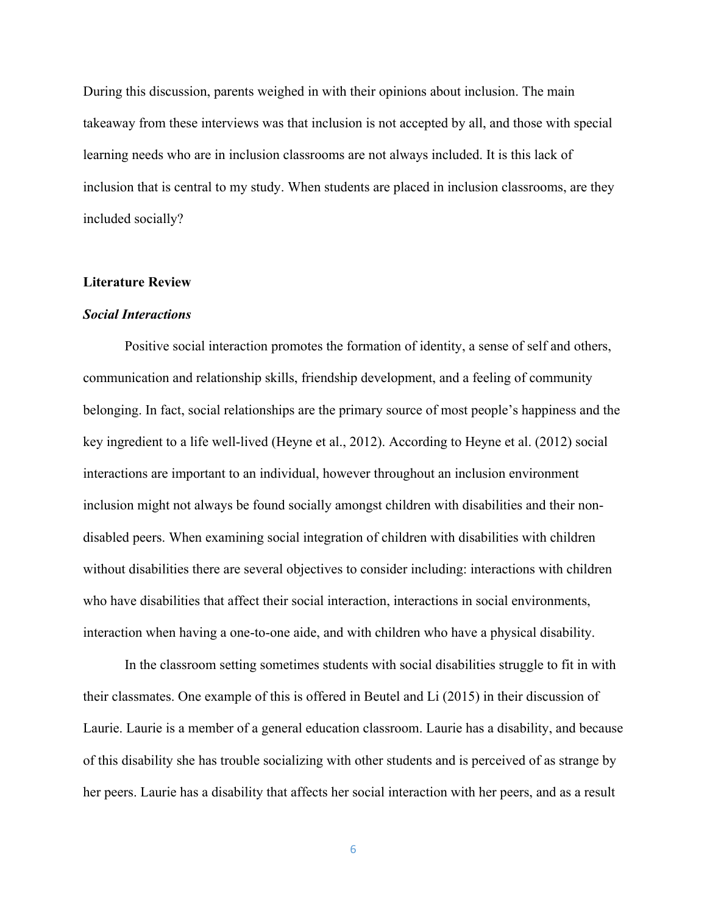During this discussion, parents weighed in with their opinions about inclusion. The main takeaway from these interviews was that inclusion is not accepted by all, and those with special learning needs who are in inclusion classrooms are not always included. It is this lack of inclusion that is central to my study. When students are placed in inclusion classrooms, are they included socially?

#### **Literature Review**

#### *Social Interactions*

Positive social interaction promotes the formation of identity, a sense of self and others, communication and relationship skills, friendship development, and a feeling of community belonging. In fact, social relationships are the primary source of most people's happiness and the key ingredient to a life well-lived (Heyne et al., 2012). According to Heyne et al. (2012) social interactions are important to an individual, however throughout an inclusion environment inclusion might not always be found socially amongst children with disabilities and their nondisabled peers. When examining social integration of children with disabilities with children without disabilities there are several objectives to consider including: interactions with children who have disabilities that affect their social interaction, interactions in social environments, interaction when having a one-to-one aide, and with children who have a physical disability.

In the classroom setting sometimes students with social disabilities struggle to fit in with their classmates. One example of this is offered in Beutel and Li (2015) in their discussion of Laurie. Laurie is a member of a general education classroom. Laurie has a disability, and because of this disability she has trouble socializing with other students and is perceived of as strange by her peers. Laurie has a disability that affects her social interaction with her peers, and as a result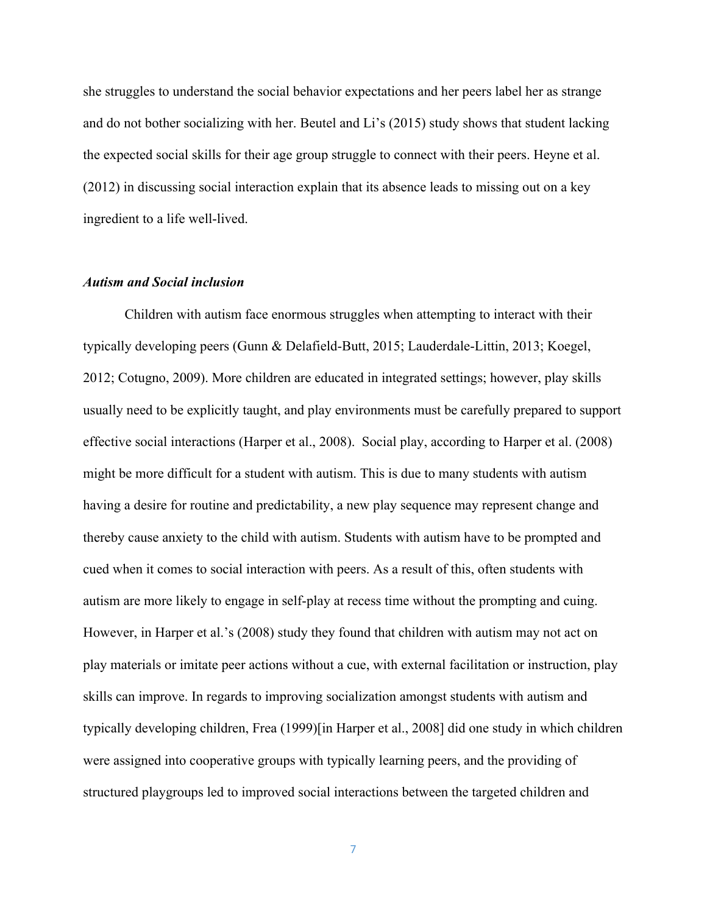she struggles to understand the social behavior expectations and her peers label her as strange and do not bother socializing with her. Beutel and Li's (2015) study shows that student lacking the expected social skills for their age group struggle to connect with their peers. Heyne et al. (2012) in discussing social interaction explain that its absence leads to missing out on a key ingredient to a life well-lived.

#### *Autism and Social inclusion*

Children with autism face enormous struggles when attempting to interact with their typically developing peers (Gunn & Delafield-Butt, 2015; Lauderdale-Littin, 2013; Koegel, 2012; Cotugno, 2009). More children are educated in integrated settings; however, play skills usually need to be explicitly taught, and play environments must be carefully prepared to support effective social interactions (Harper et al., 2008). Social play, according to Harper et al. (2008) might be more difficult for a student with autism. This is due to many students with autism having a desire for routine and predictability, a new play sequence may represent change and thereby cause anxiety to the child with autism. Students with autism have to be prompted and cued when it comes to social interaction with peers. As a result of this, often students with autism are more likely to engage in self-play at recess time without the prompting and cuing. However, in Harper et al.'s (2008) study they found that children with autism may not act on play materials or imitate peer actions without a cue, with external facilitation or instruction, play skills can improve. In regards to improving socialization amongst students with autism and typically developing children, Frea (1999)[in Harper et al., 2008] did one study in which children were assigned into cooperative groups with typically learning peers, and the providing of structured playgroups led to improved social interactions between the targeted children and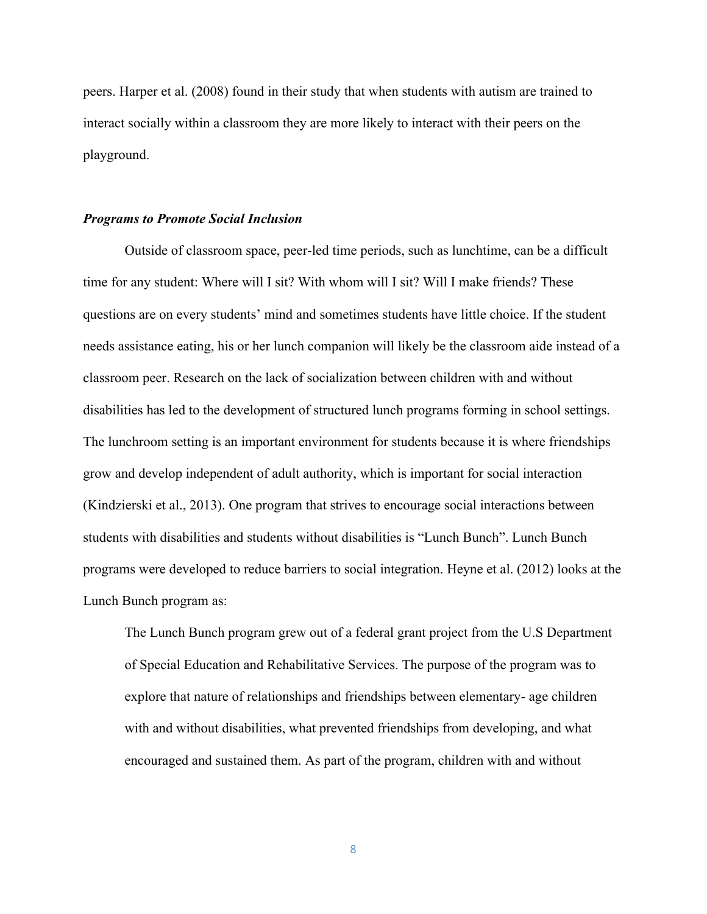peers. Harper et al. (2008) found in their study that when students with autism are trained to interact socially within a classroom they are more likely to interact with their peers on the playground.

#### *Programs to Promote Social Inclusion*

Outside of classroom space, peer-led time periods, such as lunchtime, can be a difficult time for any student: Where will I sit? With whom will I sit? Will I make friends? These questions are on every students' mind and sometimes students have little choice. If the student needs assistance eating, his or her lunch companion will likely be the classroom aide instead of a classroom peer. Research on the lack of socialization between children with and without disabilities has led to the development of structured lunch programs forming in school settings. The lunchroom setting is an important environment for students because it is where friendships grow and develop independent of adult authority, which is important for social interaction (Kindzierski et al., 2013). One program that strives to encourage social interactions between students with disabilities and students without disabilities is "Lunch Bunch". Lunch Bunch programs were developed to reduce barriers to social integration. Heyne et al. (2012) looks at the Lunch Bunch program as:

The Lunch Bunch program grew out of a federal grant project from the U.S Department of Special Education and Rehabilitative Services. The purpose of the program was to explore that nature of relationships and friendships between elementary- age children with and without disabilities, what prevented friendships from developing, and what encouraged and sustained them. As part of the program, children with and without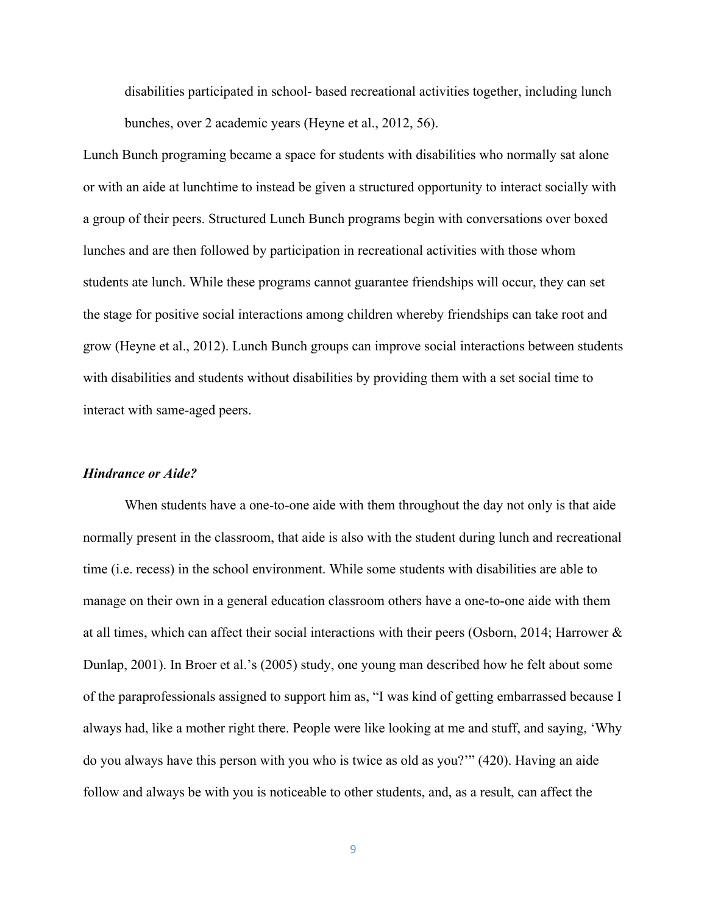disabilities participated in school- based recreational activities together, including lunch bunches, over 2 academic years (Heyne et al., 2012, 56).

Lunch Bunch programing became a space for students with disabilities who normally sat alone or with an aide at lunchtime to instead be given a structured opportunity to interact socially with a group of their peers. Structured Lunch Bunch programs begin with conversations over boxed lunches and are then followed by participation in recreational activities with those whom students ate lunch. While these programs cannot guarantee friendships will occur, they can set the stage for positive social interactions among children whereby friendships can take root and grow (Heyne et al., 2012). Lunch Bunch groups can improve social interactions between students with disabilities and students without disabilities by providing them with a set social time to interact with same-aged peers.

#### *Hindrance or Aide?*

When students have a one-to-one aide with them throughout the day not only is that aide normally present in the classroom, that aide is also with the student during lunch and recreational time (i.e. recess) in the school environment. While some students with disabilities are able to manage on their own in a general education classroom others have a one-to-one aide with them at all times, which can affect their social interactions with their peers (Osborn, 2014; Harrower & Dunlap, 2001). In Broer et al.'s (2005) study, one young man described how he felt about some of the paraprofessionals assigned to support him as, "I was kind of getting embarrassed because I always had, like a mother right there. People were like looking at me and stuff, and saying, 'Why do you always have this person with you who is twice as old as you?'" (420). Having an aide follow and always be with you is noticeable to other students, and, as a result, can affect the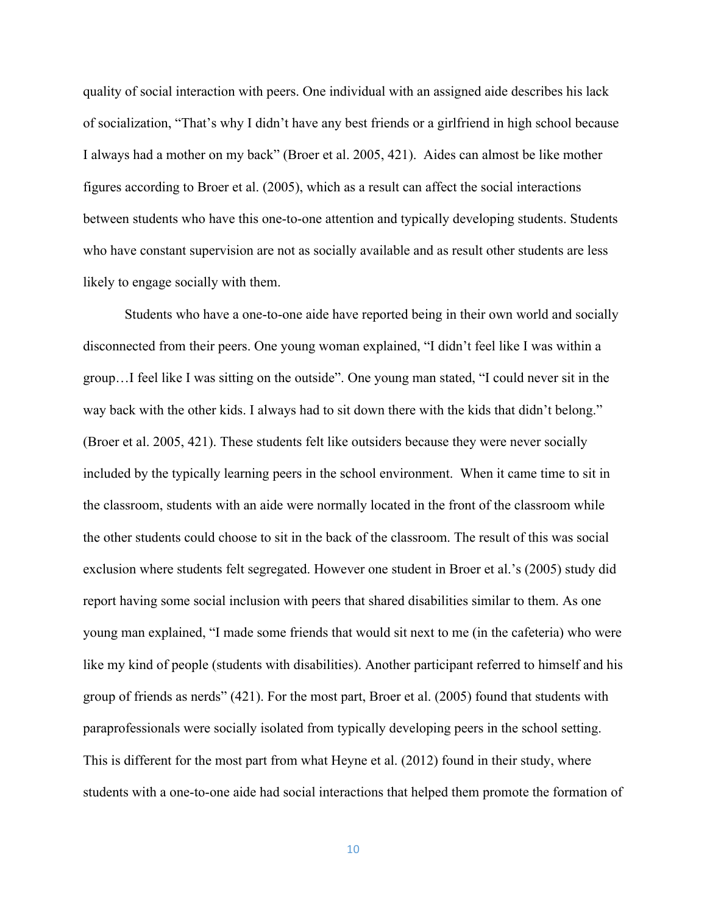quality of social interaction with peers. One individual with an assigned aide describes his lack of socialization, "That's why I didn't have any best friends or a girlfriend in high school because I always had a mother on my back" (Broer et al. 2005, 421). Aides can almost be like mother figures according to Broer et al. (2005), which as a result can affect the social interactions between students who have this one-to-one attention and typically developing students. Students who have constant supervision are not as socially available and as result other students are less likely to engage socially with them.

Students who have a one-to-one aide have reported being in their own world and socially disconnected from their peers. One young woman explained, "I didn't feel like I was within a group…I feel like I was sitting on the outside". One young man stated, "I could never sit in the way back with the other kids. I always had to sit down there with the kids that didn't belong." (Broer et al. 2005, 421). These students felt like outsiders because they were never socially included by the typically learning peers in the school environment. When it came time to sit in the classroom, students with an aide were normally located in the front of the classroom while the other students could choose to sit in the back of the classroom. The result of this was social exclusion where students felt segregated. However one student in Broer et al.'s (2005) study did report having some social inclusion with peers that shared disabilities similar to them. As one young man explained, "I made some friends that would sit next to me (in the cafeteria) who were like my kind of people (students with disabilities). Another participant referred to himself and his group of friends as nerds" (421). For the most part, Broer et al. (2005) found that students with paraprofessionals were socially isolated from typically developing peers in the school setting. This is different for the most part from what Heyne et al. (2012) found in their study, where students with a one-to-one aide had social interactions that helped them promote the formation of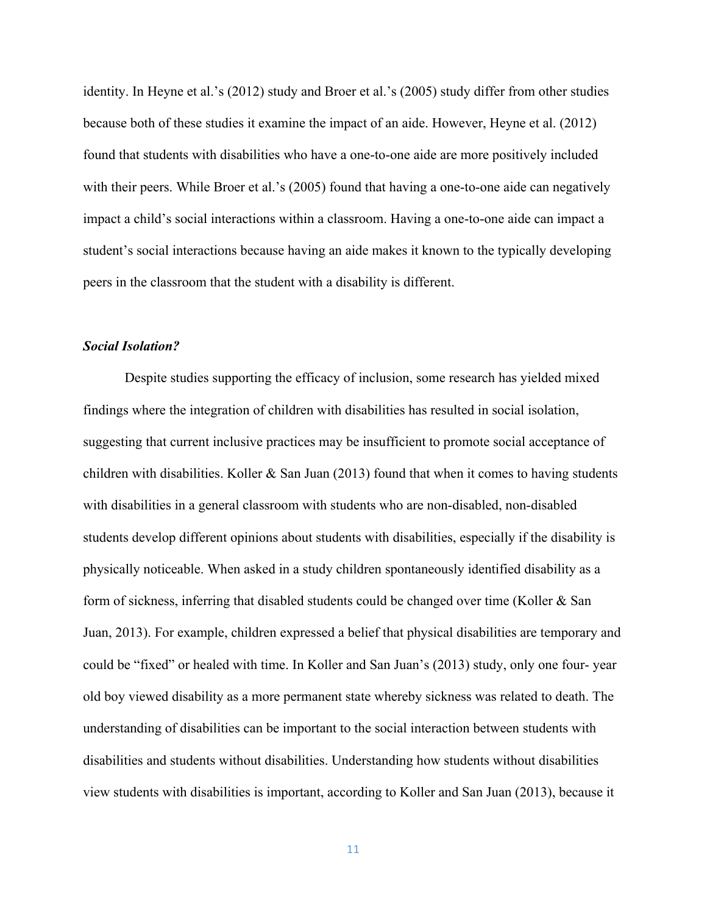identity. In Heyne et al.'s (2012) study and Broer et al.'s (2005) study differ from other studies because both of these studies it examine the impact of an aide. However, Heyne et al. (2012) found that students with disabilities who have a one-to-one aide are more positively included with their peers. While Broer et al.'s (2005) found that having a one-to-one aide can negatively impact a child's social interactions within a classroom. Having a one-to-one aide can impact a student's social interactions because having an aide makes it known to the typically developing peers in the classroom that the student with a disability is different.

# *Social Isolation?*

Despite studies supporting the efficacy of inclusion, some research has yielded mixed findings where the integration of children with disabilities has resulted in social isolation, suggesting that current inclusive practices may be insufficient to promote social acceptance of children with disabilities. Koller  $&$  San Juan (2013) found that when it comes to having students with disabilities in a general classroom with students who are non-disabled, non-disabled students develop different opinions about students with disabilities, especially if the disability is physically noticeable. When asked in a study children spontaneously identified disability as a form of sickness, inferring that disabled students could be changed over time (Koller & San Juan, 2013). For example, children expressed a belief that physical disabilities are temporary and could be "fixed" or healed with time. In Koller and San Juan's (2013) study, only one four- year old boy viewed disability as a more permanent state whereby sickness was related to death. The understanding of disabilities can be important to the social interaction between students with disabilities and students without disabilities. Understanding how students without disabilities view students with disabilities is important, according to Koller and San Juan (2013), because it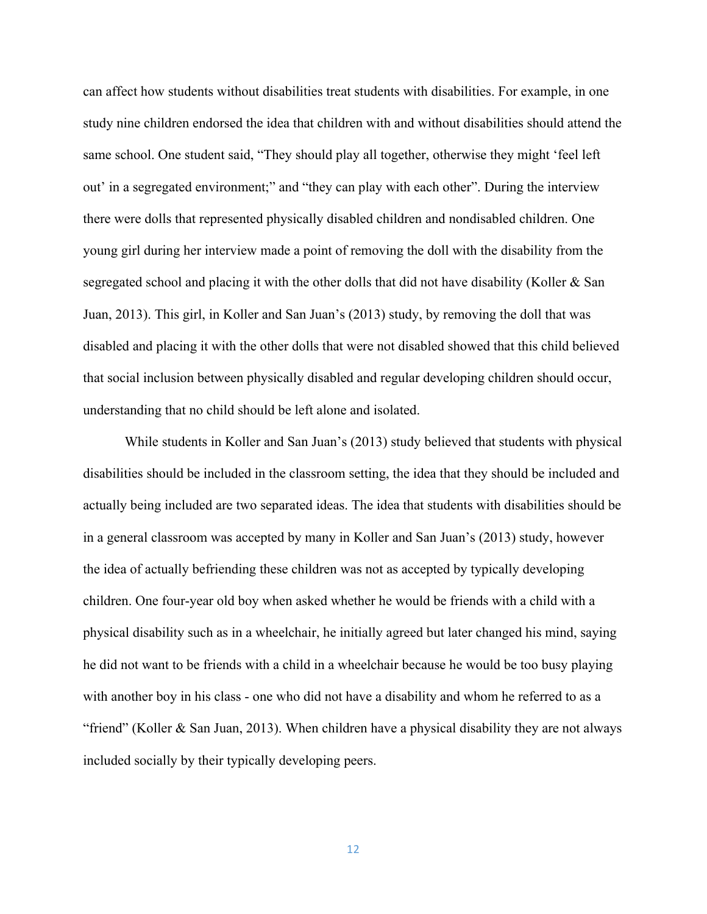can affect how students without disabilities treat students with disabilities. For example, in one study nine children endorsed the idea that children with and without disabilities should attend the same school. One student said, "They should play all together, otherwise they might 'feel left out' in a segregated environment;" and "they can play with each other". During the interview there were dolls that represented physically disabled children and nondisabled children. One young girl during her interview made a point of removing the doll with the disability from the segregated school and placing it with the other dolls that did not have disability (Koller & San Juan, 2013). This girl, in Koller and San Juan's (2013) study, by removing the doll that was disabled and placing it with the other dolls that were not disabled showed that this child believed that social inclusion between physically disabled and regular developing children should occur, understanding that no child should be left alone and isolated.

While students in Koller and San Juan's (2013) study believed that students with physical disabilities should be included in the classroom setting, the idea that they should be included and actually being included are two separated ideas. The idea that students with disabilities should be in a general classroom was accepted by many in Koller and San Juan's (2013) study, however the idea of actually befriending these children was not as accepted by typically developing children. One four-year old boy when asked whether he would be friends with a child with a physical disability such as in a wheelchair, he initially agreed but later changed his mind, saying he did not want to be friends with a child in a wheelchair because he would be too busy playing with another boy in his class - one who did not have a disability and whom he referred to as a "friend" (Koller & San Juan, 2013). When children have a physical disability they are not always included socially by their typically developing peers.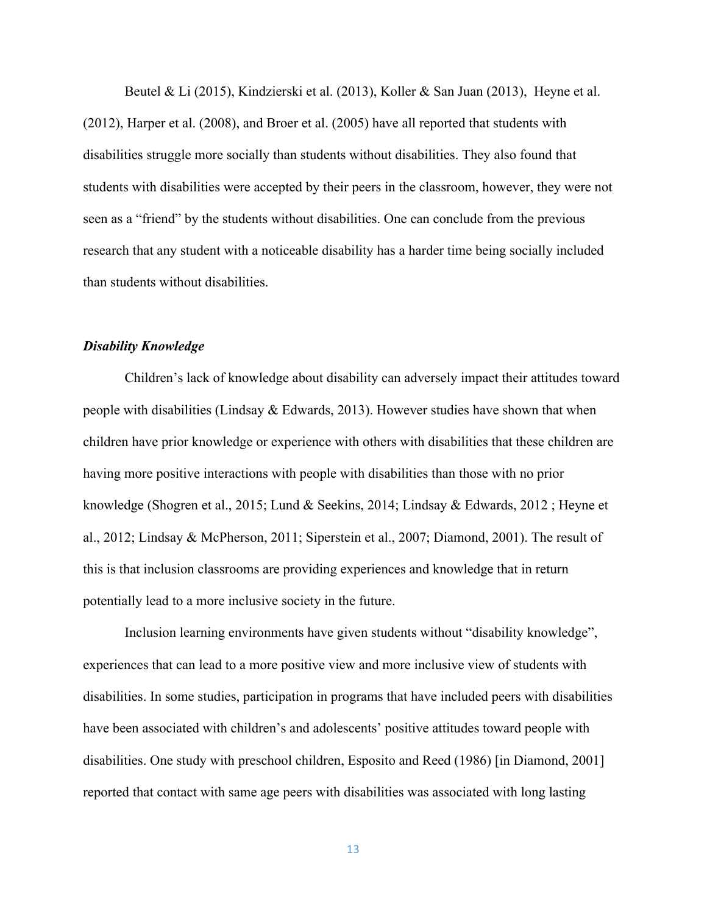Beutel & Li (2015), Kindzierski et al. (2013), Koller & San Juan (2013), Heyne et al. (2012), Harper et al. (2008), and Broer et al. (2005) have all reported that students with disabilities struggle more socially than students without disabilities. They also found that students with disabilities were accepted by their peers in the classroom, however, they were not seen as a "friend" by the students without disabilities. One can conclude from the previous research that any student with a noticeable disability has a harder time being socially included than students without disabilities.

## *Disability Knowledge*

Children's lack of knowledge about disability can adversely impact their attitudes toward people with disabilities (Lindsay  $\&$  Edwards, 2013). However studies have shown that when children have prior knowledge or experience with others with disabilities that these children are having more positive interactions with people with disabilities than those with no prior knowledge (Shogren et al., 2015; Lund & Seekins, 2014; Lindsay & Edwards, 2012 ; Heyne et al., 2012; Lindsay & McPherson, 2011; Siperstein et al., 2007; Diamond, 2001). The result of this is that inclusion classrooms are providing experiences and knowledge that in return potentially lead to a more inclusive society in the future.

Inclusion learning environments have given students without "disability knowledge", experiences that can lead to a more positive view and more inclusive view of students with disabilities. In some studies, participation in programs that have included peers with disabilities have been associated with children's and adolescents' positive attitudes toward people with disabilities. One study with preschool children, Esposito and Reed (1986) [in Diamond, 2001] reported that contact with same age peers with disabilities was associated with long lasting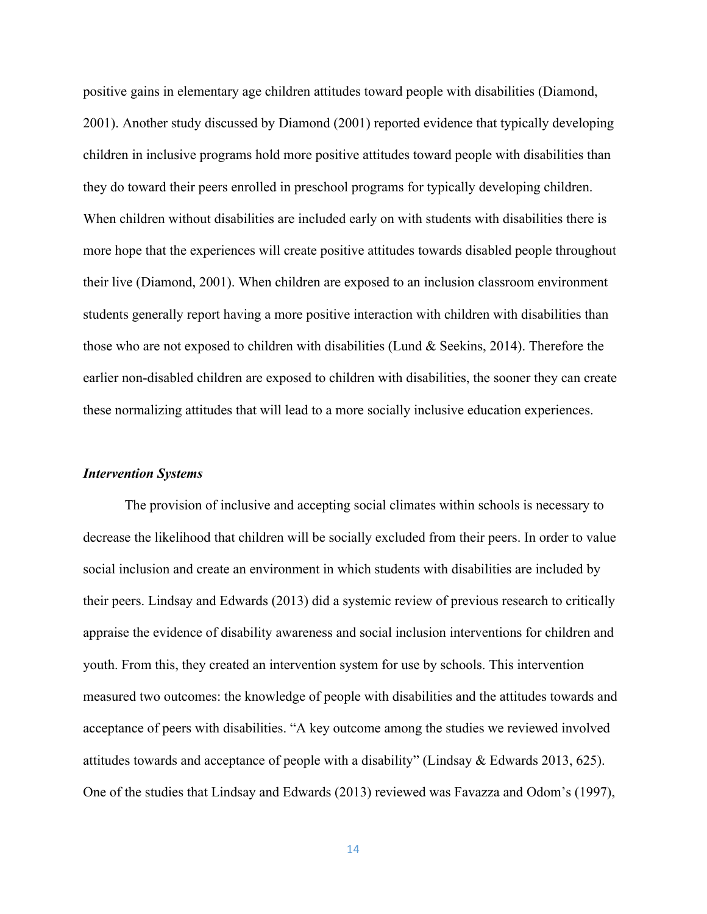positive gains in elementary age children attitudes toward people with disabilities (Diamond, 2001). Another study discussed by Diamond (2001) reported evidence that typically developing children in inclusive programs hold more positive attitudes toward people with disabilities than they do toward their peers enrolled in preschool programs for typically developing children. When children without disabilities are included early on with students with disabilities there is more hope that the experiences will create positive attitudes towards disabled people throughout their live (Diamond, 2001). When children are exposed to an inclusion classroom environment students generally report having a more positive interaction with children with disabilities than those who are not exposed to children with disabilities (Lund & Seekins, 2014). Therefore the earlier non-disabled children are exposed to children with disabilities, the sooner they can create these normalizing attitudes that will lead to a more socially inclusive education experiences.

## *Intervention Systems*

The provision of inclusive and accepting social climates within schools is necessary to decrease the likelihood that children will be socially excluded from their peers. In order to value social inclusion and create an environment in which students with disabilities are included by their peers. Lindsay and Edwards (2013) did a systemic review of previous research to critically appraise the evidence of disability awareness and social inclusion interventions for children and youth. From this, they created an intervention system for use by schools. This intervention measured two outcomes: the knowledge of people with disabilities and the attitudes towards and acceptance of peers with disabilities. "A key outcome among the studies we reviewed involved attitudes towards and acceptance of people with a disability" (Lindsay & Edwards 2013, 625). One of the studies that Lindsay and Edwards (2013) reviewed was Favazza and Odom's (1997),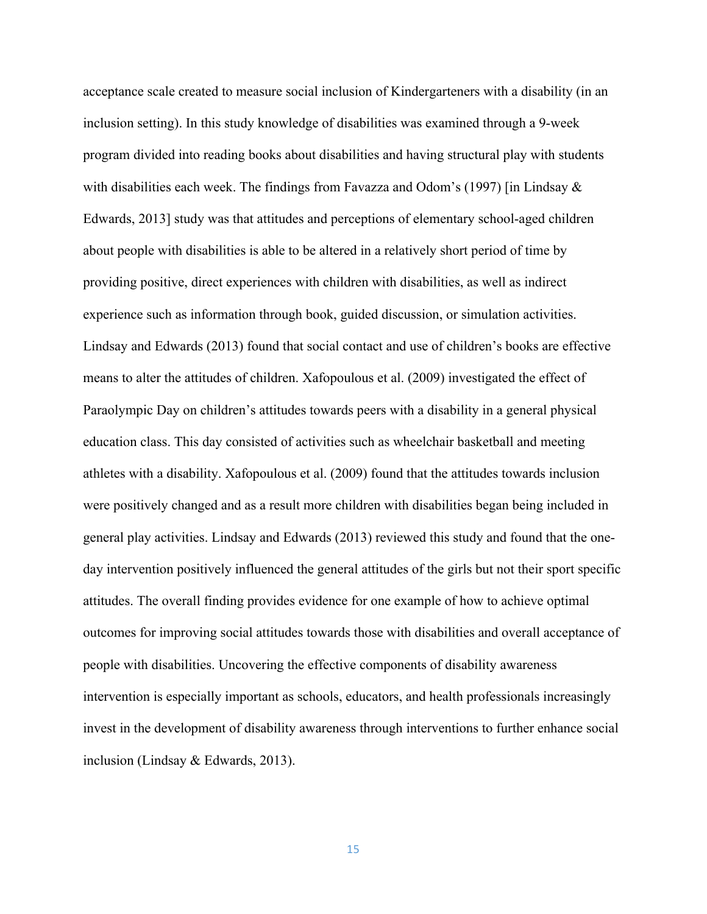acceptance scale created to measure social inclusion of Kindergarteners with a disability (in an inclusion setting). In this study knowledge of disabilities was examined through a 9-week program divided into reading books about disabilities and having structural play with students with disabilities each week. The findings from Favazza and Odom's (1997) [in Lindsay  $\&$ Edwards, 2013] study was that attitudes and perceptions of elementary school-aged children about people with disabilities is able to be altered in a relatively short period of time by providing positive, direct experiences with children with disabilities, as well as indirect experience such as information through book, guided discussion, or simulation activities. Lindsay and Edwards (2013) found that social contact and use of children's books are effective means to alter the attitudes of children. Xafopoulous et al. (2009) investigated the effect of Paraolympic Day on children's attitudes towards peers with a disability in a general physical education class. This day consisted of activities such as wheelchair basketball and meeting athletes with a disability. Xafopoulous et al. (2009) found that the attitudes towards inclusion were positively changed and as a result more children with disabilities began being included in general play activities. Lindsay and Edwards (2013) reviewed this study and found that the oneday intervention positively influenced the general attitudes of the girls but not their sport specific attitudes. The overall finding provides evidence for one example of how to achieve optimal outcomes for improving social attitudes towards those with disabilities and overall acceptance of people with disabilities. Uncovering the effective components of disability awareness intervention is especially important as schools, educators, and health professionals increasingly invest in the development of disability awareness through interventions to further enhance social inclusion (Lindsay & Edwards, 2013).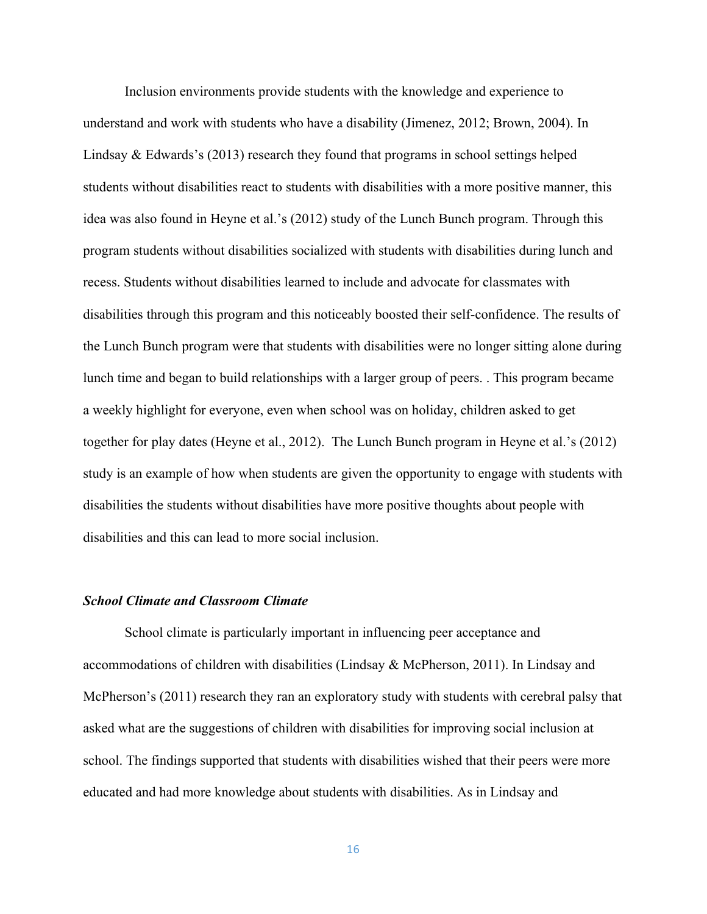Inclusion environments provide students with the knowledge and experience to understand and work with students who have a disability (Jimenez, 2012; Brown, 2004). In Lindsay & Edwards's (2013) research they found that programs in school settings helped students without disabilities react to students with disabilities with a more positive manner, this idea was also found in Heyne et al.'s (2012) study of the Lunch Bunch program. Through this program students without disabilities socialized with students with disabilities during lunch and recess. Students without disabilities learned to include and advocate for classmates with disabilities through this program and this noticeably boosted their self-confidence. The results of the Lunch Bunch program were that students with disabilities were no longer sitting alone during lunch time and began to build relationships with a larger group of peers. . This program became a weekly highlight for everyone, even when school was on holiday, children asked to get together for play dates (Heyne et al., 2012). The Lunch Bunch program in Heyne et al.'s (2012) study is an example of how when students are given the opportunity to engage with students with disabilities the students without disabilities have more positive thoughts about people with disabilities and this can lead to more social inclusion.

# *School Climate and Classroom Climate*

School climate is particularly important in influencing peer acceptance and accommodations of children with disabilities (Lindsay & McPherson, 2011). In Lindsay and McPherson's (2011) research they ran an exploratory study with students with cerebral palsy that asked what are the suggestions of children with disabilities for improving social inclusion at school. The findings supported that students with disabilities wished that their peers were more educated and had more knowledge about students with disabilities. As in Lindsay and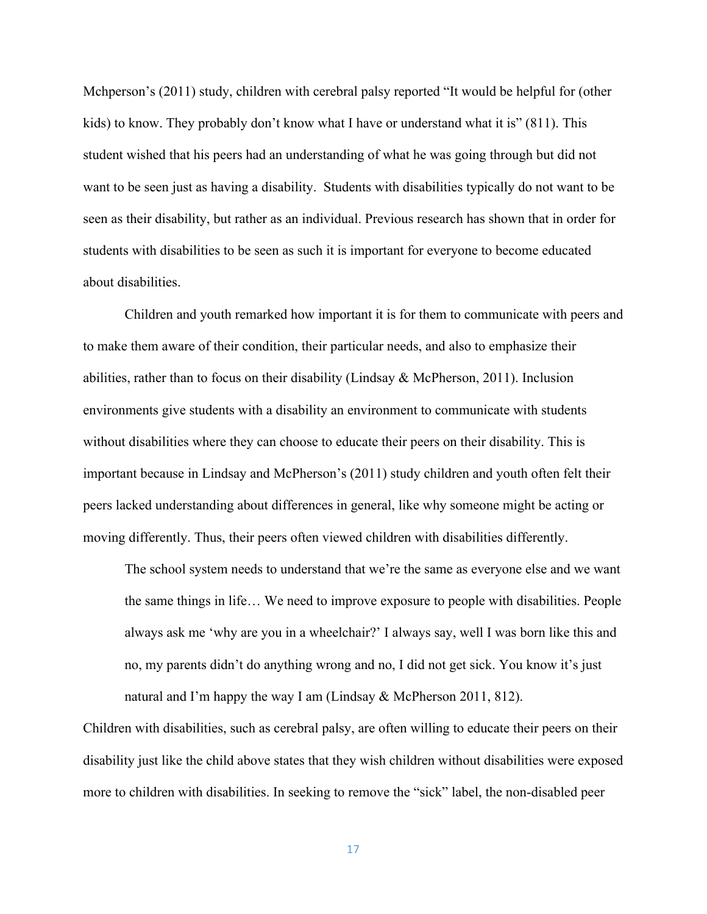Mchperson's (2011) study, children with cerebral palsy reported "It would be helpful for (other kids) to know. They probably don't know what I have or understand what it is" (811). This student wished that his peers had an understanding of what he was going through but did not want to be seen just as having a disability. Students with disabilities typically do not want to be seen as their disability, but rather as an individual. Previous research has shown that in order for students with disabilities to be seen as such it is important for everyone to become educated about disabilities.

Children and youth remarked how important it is for them to communicate with peers and to make them aware of their condition, their particular needs, and also to emphasize their abilities, rather than to focus on their disability (Lindsay & McPherson, 2011). Inclusion environments give students with a disability an environment to communicate with students without disabilities where they can choose to educate their peers on their disability. This is important because in Lindsay and McPherson's (2011) study children and youth often felt their peers lacked understanding about differences in general, like why someone might be acting or moving differently. Thus, their peers often viewed children with disabilities differently.

The school system needs to understand that we're the same as everyone else and we want the same things in life… We need to improve exposure to people with disabilities. People always ask me 'why are you in a wheelchair?' I always say, well I was born like this and no, my parents didn't do anything wrong and no, I did not get sick. You know it's just natural and I'm happy the way I am (Lindsay & McPherson 2011, 812).

Children with disabilities, such as cerebral palsy, are often willing to educate their peers on their disability just like the child above states that they wish children without disabilities were exposed more to children with disabilities. In seeking to remove the "sick" label, the non-disabled peer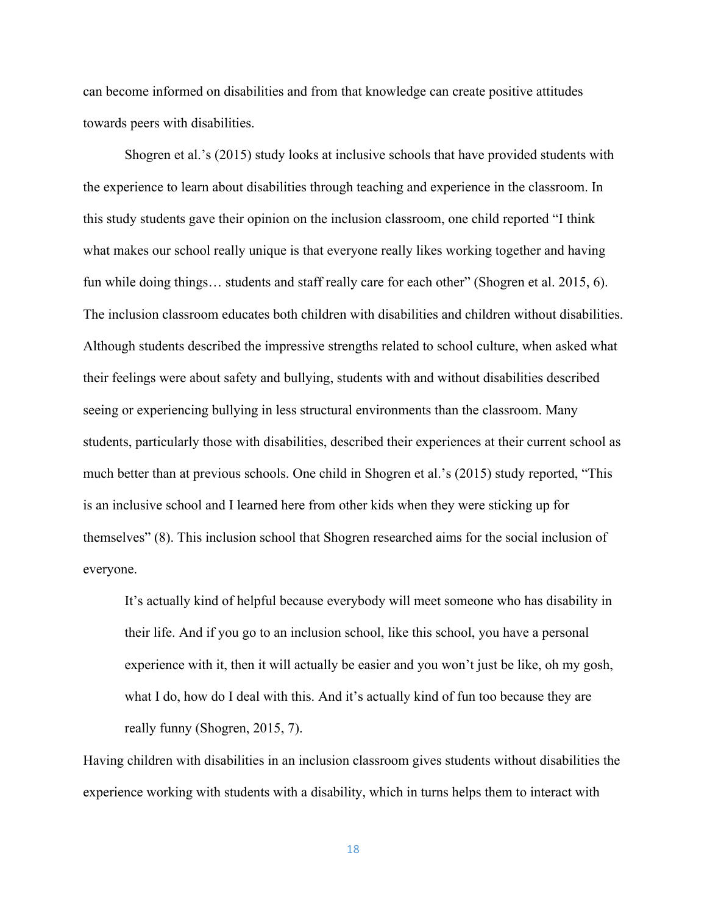can become informed on disabilities and from that knowledge can create positive attitudes towards peers with disabilities.

Shogren et al.'s (2015) study looks at inclusive schools that have provided students with the experience to learn about disabilities through teaching and experience in the classroom. In this study students gave their opinion on the inclusion classroom, one child reported "I think what makes our school really unique is that everyone really likes working together and having fun while doing things… students and staff really care for each other" (Shogren et al. 2015, 6). The inclusion classroom educates both children with disabilities and children without disabilities. Although students described the impressive strengths related to school culture, when asked what their feelings were about safety and bullying, students with and without disabilities described seeing or experiencing bullying in less structural environments than the classroom. Many students, particularly those with disabilities, described their experiences at their current school as much better than at previous schools. One child in Shogren et al.'s (2015) study reported, "This is an inclusive school and I learned here from other kids when they were sticking up for themselves" (8). This inclusion school that Shogren researched aims for the social inclusion of everyone.

It's actually kind of helpful because everybody will meet someone who has disability in their life. And if you go to an inclusion school, like this school, you have a personal experience with it, then it will actually be easier and you won't just be like, oh my gosh, what I do, how do I deal with this. And it's actually kind of fun too because they are really funny (Shogren, 2015, 7).

Having children with disabilities in an inclusion classroom gives students without disabilities the experience working with students with a disability, which in turns helps them to interact with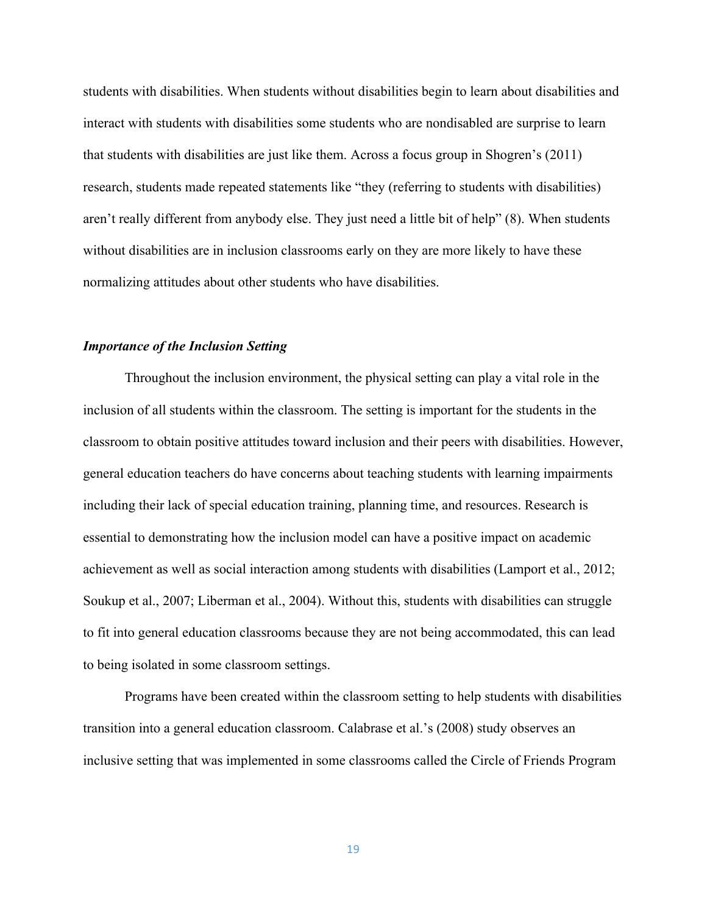students with disabilities. When students without disabilities begin to learn about disabilities and interact with students with disabilities some students who are nondisabled are surprise to learn that students with disabilities are just like them. Across a focus group in Shogren's (2011) research, students made repeated statements like "they (referring to students with disabilities) aren't really different from anybody else. They just need a little bit of help" (8). When students without disabilities are in inclusion classrooms early on they are more likely to have these normalizing attitudes about other students who have disabilities.

# *Importance of the Inclusion Setting*

Throughout the inclusion environment, the physical setting can play a vital role in the inclusion of all students within the classroom. The setting is important for the students in the classroom to obtain positive attitudes toward inclusion and their peers with disabilities. However, general education teachers do have concerns about teaching students with learning impairments including their lack of special education training, planning time, and resources. Research is essential to demonstrating how the inclusion model can have a positive impact on academic achievement as well as social interaction among students with disabilities (Lamport et al., 2012; Soukup et al., 2007; Liberman et al., 2004). Without this, students with disabilities can struggle to fit into general education classrooms because they are not being accommodated, this can lead to being isolated in some classroom settings.

Programs have been created within the classroom setting to help students with disabilities transition into a general education classroom. Calabrase et al.'s (2008) study observes an inclusive setting that was implemented in some classrooms called the Circle of Friends Program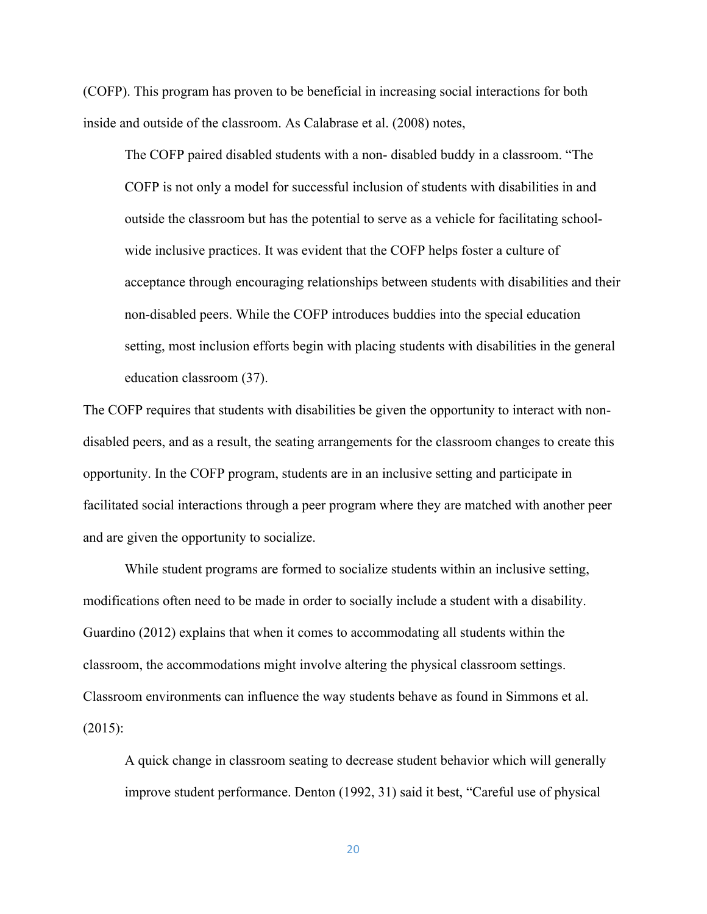(COFP). This program has proven to be beneficial in increasing social interactions for both inside and outside of the classroom. As Calabrase et al. (2008) notes,

The COFP paired disabled students with a non- disabled buddy in a classroom. "The COFP is not only a model for successful inclusion of students with disabilities in and outside the classroom but has the potential to serve as a vehicle for facilitating schoolwide inclusive practices. It was evident that the COFP helps foster a culture of acceptance through encouraging relationships between students with disabilities and their non-disabled peers. While the COFP introduces buddies into the special education setting, most inclusion efforts begin with placing students with disabilities in the general education classroom (37).

The COFP requires that students with disabilities be given the opportunity to interact with nondisabled peers, and as a result, the seating arrangements for the classroom changes to create this opportunity. In the COFP program, students are in an inclusive setting and participate in facilitated social interactions through a peer program where they are matched with another peer and are given the opportunity to socialize.

While student programs are formed to socialize students within an inclusive setting, modifications often need to be made in order to socially include a student with a disability. Guardino (2012) explains that when it comes to accommodating all students within the classroom, the accommodations might involve altering the physical classroom settings. Classroom environments can influence the way students behave as found in Simmons et al.  $(2015)$ :

A quick change in classroom seating to decrease student behavior which will generally improve student performance. Denton (1992, 31) said it best, "Careful use of physical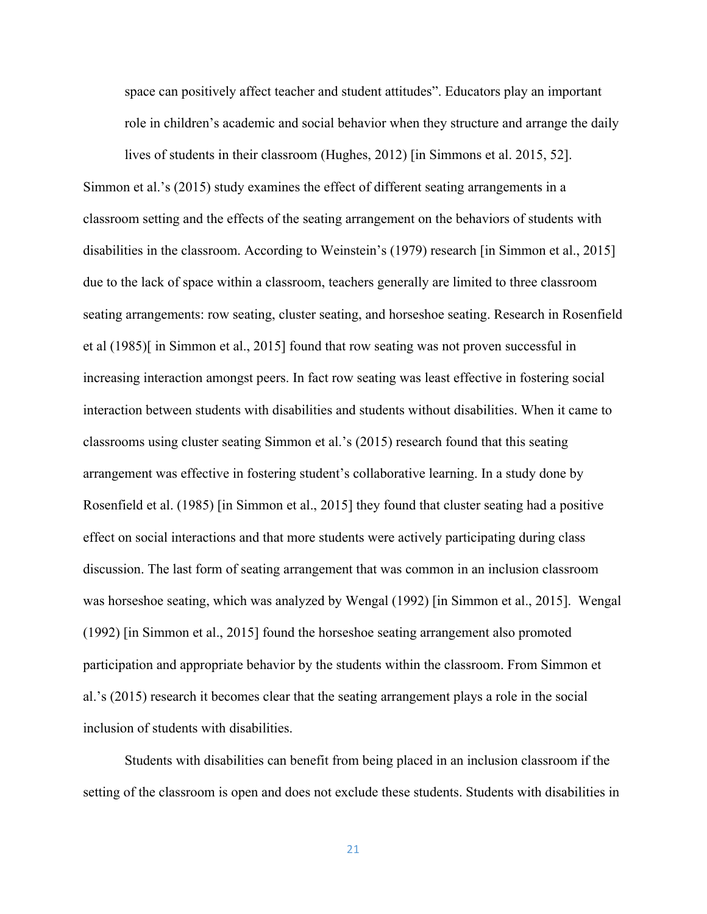space can positively affect teacher and student attitudes". Educators play an important role in children's academic and social behavior when they structure and arrange the daily

lives of students in their classroom (Hughes, 2012) [in Simmons et al. 2015, 52]. Simmon et al.'s (2015) study examines the effect of different seating arrangements in a classroom setting and the effects of the seating arrangement on the behaviors of students with disabilities in the classroom. According to Weinstein's (1979) research [in Simmon et al., 2015] due to the lack of space within a classroom, teachers generally are limited to three classroom seating arrangements: row seating, cluster seating, and horseshoe seating. Research in Rosenfield et al (1985)[ in Simmon et al., 2015] found that row seating was not proven successful in increasing interaction amongst peers. In fact row seating was least effective in fostering social interaction between students with disabilities and students without disabilities. When it came to classrooms using cluster seating Simmon et al.'s (2015) research found that this seating arrangement was effective in fostering student's collaborative learning. In a study done by Rosenfield et al. (1985) [in Simmon et al., 2015] they found that cluster seating had a positive effect on social interactions and that more students were actively participating during class discussion. The last form of seating arrangement that was common in an inclusion classroom was horseshoe seating, which was analyzed by Wengal (1992) [in Simmon et al., 2015]. Wengal (1992) [in Simmon et al., 2015] found the horseshoe seating arrangement also promoted participation and appropriate behavior by the students within the classroom. From Simmon et al.'s (2015) research it becomes clear that the seating arrangement plays a role in the social inclusion of students with disabilities.

Students with disabilities can benefit from being placed in an inclusion classroom if the setting of the classroom is open and does not exclude these students. Students with disabilities in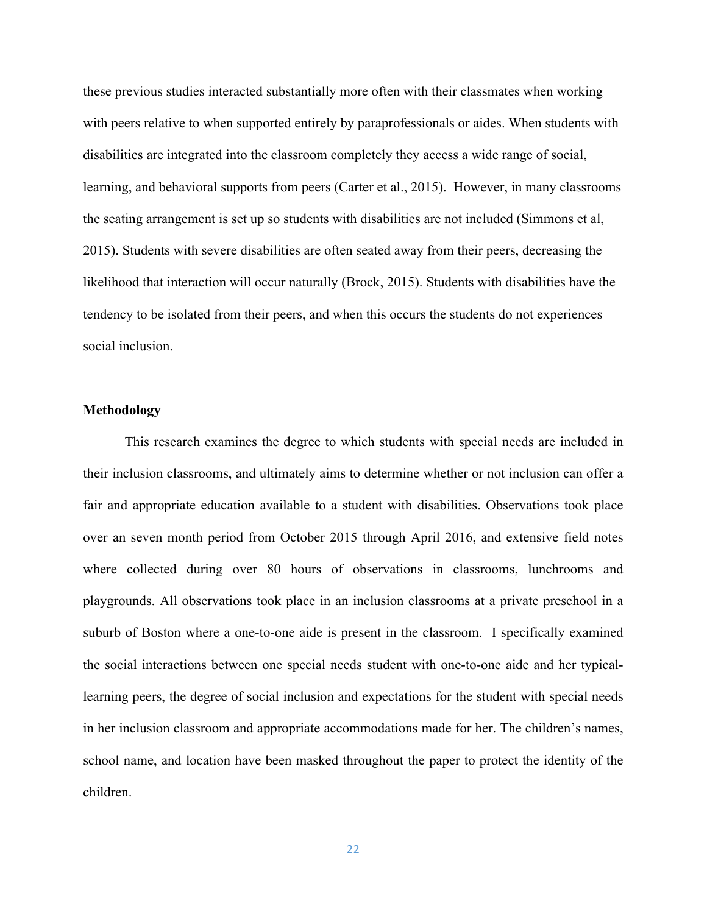these previous studies interacted substantially more often with their classmates when working with peers relative to when supported entirely by paraprofessionals or aides. When students with disabilities are integrated into the classroom completely they access a wide range of social, learning, and behavioral supports from peers (Carter et al., 2015). However, in many classrooms the seating arrangement is set up so students with disabilities are not included (Simmons et al, 2015). Students with severe disabilities are often seated away from their peers, decreasing the likelihood that interaction will occur naturally (Brock, 2015). Students with disabilities have the tendency to be isolated from their peers, and when this occurs the students do not experiences social inclusion.

# **Methodology**

This research examines the degree to which students with special needs are included in their inclusion classrooms, and ultimately aims to determine whether or not inclusion can offer a fair and appropriate education available to a student with disabilities. Observations took place over an seven month period from October 2015 through April 2016, and extensive field notes where collected during over 80 hours of observations in classrooms, lunchrooms and playgrounds. All observations took place in an inclusion classrooms at a private preschool in a suburb of Boston where a one-to-one aide is present in the classroom. I specifically examined the social interactions between one special needs student with one-to-one aide and her typicallearning peers, the degree of social inclusion and expectations for the student with special needs in her inclusion classroom and appropriate accommodations made for her. The children's names, school name, and location have been masked throughout the paper to protect the identity of the children.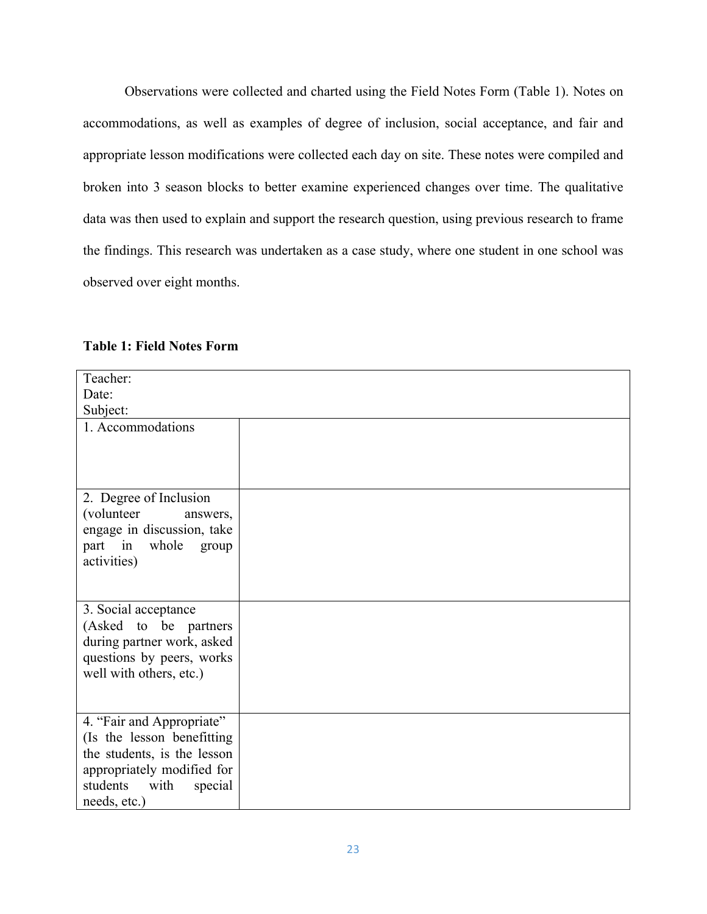Observations were collected and charted using the Field Notes Form (Table 1). Notes on accommodations, as well as examples of degree of inclusion, social acceptance, and fair and appropriate lesson modifications were collected each day on site. These notes were compiled and broken into 3 season blocks to better examine experienced changes over time. The qualitative data was then used to explain and support the research question, using previous research to frame the findings. This research was undertaken as a case study, where one student in one school was observed over eight months.

| Teacher:                    |  |
|-----------------------------|--|
| Date:                       |  |
| Subject:                    |  |
| 1. Accommodations           |  |
|                             |  |
|                             |  |
|                             |  |
| 2. Degree of Inclusion      |  |
| (volunteer)<br>answers,     |  |
| engage in discussion, take  |  |
| part in whole group         |  |
| activities)                 |  |
|                             |  |
|                             |  |
| 3. Social acceptance        |  |
| (Asked to be partners       |  |
| during partner work, asked  |  |
| questions by peers, works   |  |
| well with others, etc.)     |  |
|                             |  |
|                             |  |
| 4. "Fair and Appropriate"   |  |
| (Is the lesson benefitting  |  |
| the students, is the lesson |  |
| appropriately modified for  |  |
| students with<br>special    |  |
| needs, etc.)                |  |

**Table 1: Field Notes Form**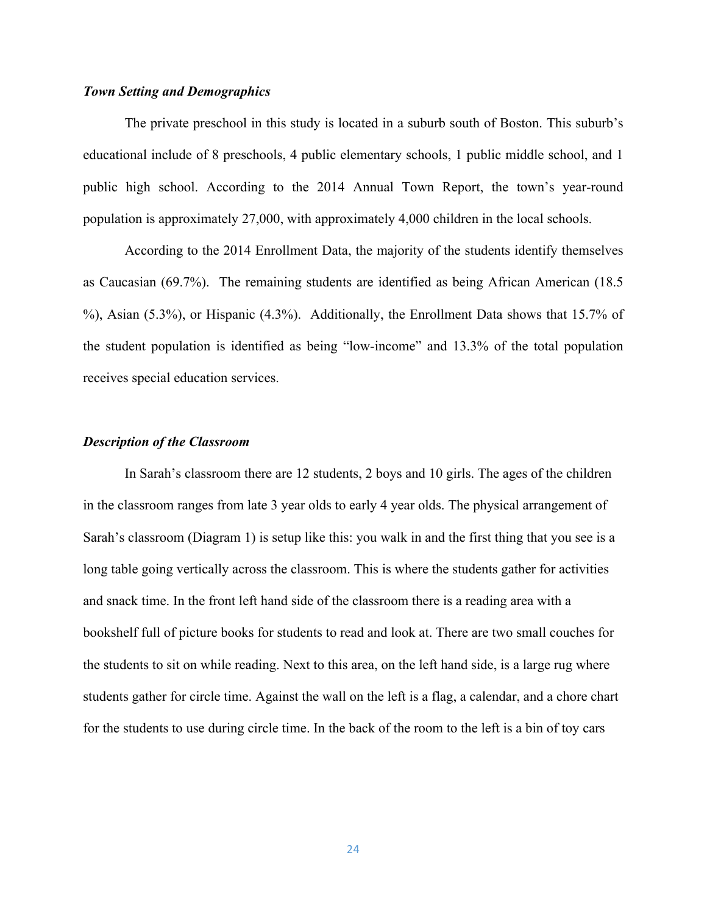# *Town Setting and Demographics*

The private preschool in this study is located in a suburb south of Boston. This suburb's educational include of 8 preschools, 4 public elementary schools, 1 public middle school, and 1 public high school. According to the 2014 Annual Town Report, the town's year-round population is approximately 27,000, with approximately 4,000 children in the local schools.

According to the 2014 Enrollment Data, the majority of the students identify themselves as Caucasian (69.7%). The remaining students are identified as being African American (18.5 %), Asian (5.3%), or Hispanic (4.3%). Additionally, the Enrollment Data shows that 15.7% of the student population is identified as being "low-income" and 13.3% of the total population receives special education services.

# *Description of the Classroom*

In Sarah's classroom there are 12 students, 2 boys and 10 girls. The ages of the children in the classroom ranges from late 3 year olds to early 4 year olds. The physical arrangement of Sarah's classroom (Diagram 1) is setup like this: you walk in and the first thing that you see is a long table going vertically across the classroom. This is where the students gather for activities and snack time. In the front left hand side of the classroom there is a reading area with a bookshelf full of picture books for students to read and look at. There are two small couches for the students to sit on while reading. Next to this area, on the left hand side, is a large rug where students gather for circle time. Against the wall on the left is a flag, a calendar, and a chore chart for the students to use during circle time. In the back of the room to the left is a bin of toy cars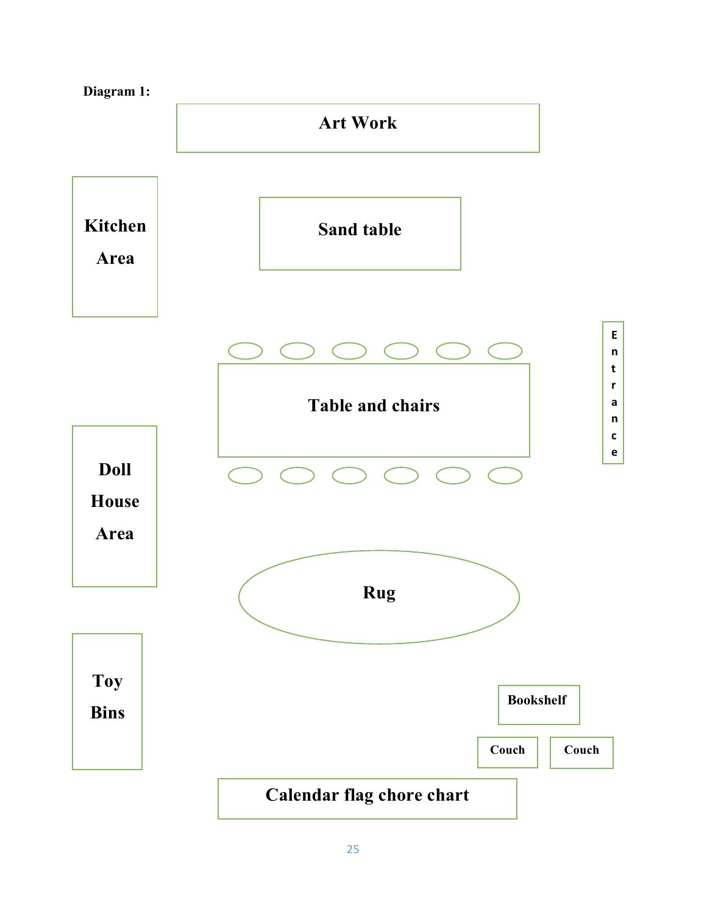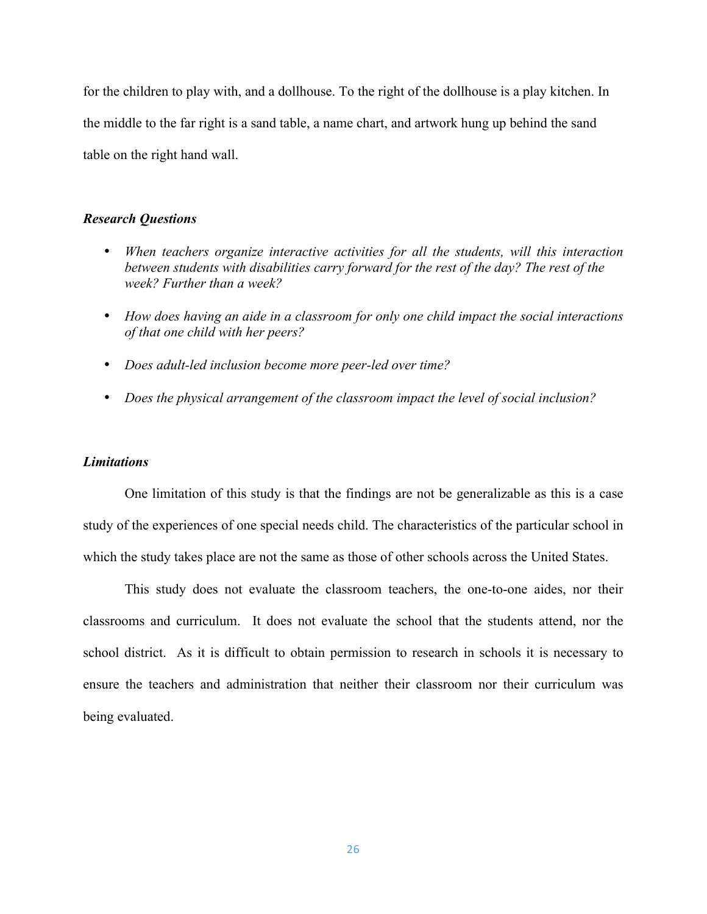for the children to play with, and a dollhouse. To the right of the dollhouse is a play kitchen. In the middle to the far right is a sand table, a name chart, and artwork hung up behind the sand table on the right hand wall.

# *Research Questions*

- *When teachers organize interactive activities for all the students, will this interaction between students with disabilities carry forward for the rest of the day? The rest of the week? Further than a week?*
- *How does having an aide in a classroom for only one child impact the social interactions of that one child with her peers?*
- *Does adult-led inclusion become more peer-led over time?*
- *Does the physical arrangement of the classroom impact the level of social inclusion?*

#### *Limitations*

One limitation of this study is that the findings are not be generalizable as this is a case study of the experiences of one special needs child. The characteristics of the particular school in which the study takes place are not the same as those of other schools across the United States.

This study does not evaluate the classroom teachers, the one-to-one aides, nor their classrooms and curriculum. It does not evaluate the school that the students attend, nor the school district. As it is difficult to obtain permission to research in schools it is necessary to ensure the teachers and administration that neither their classroom nor their curriculum was being evaluated.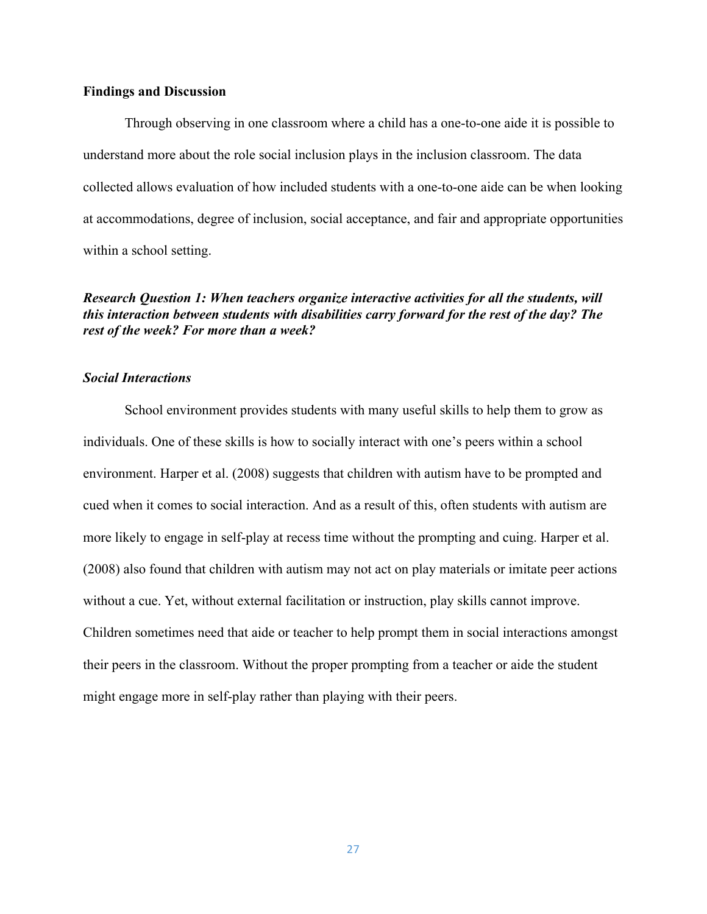# **Findings and Discussion**

Through observing in one classroom where a child has a one-to-one aide it is possible to understand more about the role social inclusion plays in the inclusion classroom. The data collected allows evaluation of how included students with a one-to-one aide can be when looking at accommodations, degree of inclusion, social acceptance, and fair and appropriate opportunities within a school setting.

# *Research Question 1: When teachers organize interactive activities for all the students, will this interaction between students with disabilities carry forward for the rest of the day? The rest of the week? For more than a week?*

#### *Social Interactions*

School environment provides students with many useful skills to help them to grow as individuals. One of these skills is how to socially interact with one's peers within a school environment. Harper et al. (2008) suggests that children with autism have to be prompted and cued when it comes to social interaction. And as a result of this, often students with autism are more likely to engage in self-play at recess time without the prompting and cuing. Harper et al. (2008) also found that children with autism may not act on play materials or imitate peer actions without a cue. Yet, without external facilitation or instruction, play skills cannot improve. Children sometimes need that aide or teacher to help prompt them in social interactions amongst their peers in the classroom. Without the proper prompting from a teacher or aide the student might engage more in self-play rather than playing with their peers.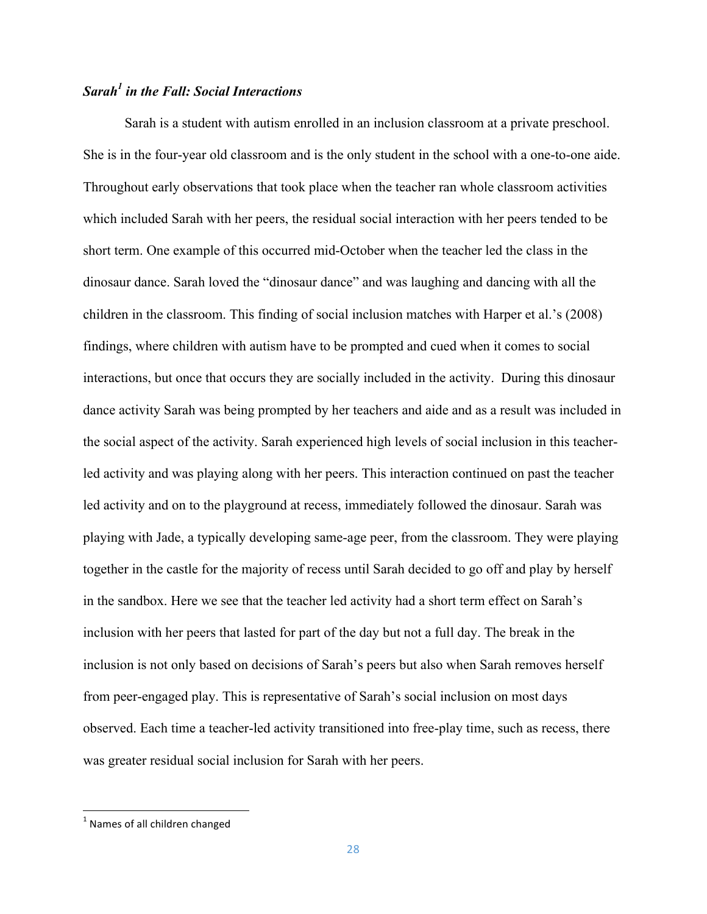# *Sarah1 in the Fall: Social Interactions*

Sarah is a student with autism enrolled in an inclusion classroom at a private preschool. She is in the four-year old classroom and is the only student in the school with a one-to-one aide. Throughout early observations that took place when the teacher ran whole classroom activities which included Sarah with her peers, the residual social interaction with her peers tended to be short term. One example of this occurred mid-October when the teacher led the class in the dinosaur dance. Sarah loved the "dinosaur dance" and was laughing and dancing with all the children in the classroom. This finding of social inclusion matches with Harper et al.'s (2008) findings, where children with autism have to be prompted and cued when it comes to social interactions, but once that occurs they are socially included in the activity. During this dinosaur dance activity Sarah was being prompted by her teachers and aide and as a result was included in the social aspect of the activity. Sarah experienced high levels of social inclusion in this teacherled activity and was playing along with her peers. This interaction continued on past the teacher led activity and on to the playground at recess, immediately followed the dinosaur. Sarah was playing with Jade, a typically developing same-age peer, from the classroom. They were playing together in the castle for the majority of recess until Sarah decided to go off and play by herself in the sandbox. Here we see that the teacher led activity had a short term effect on Sarah's inclusion with her peers that lasted for part of the day but not a full day. The break in the inclusion is not only based on decisions of Sarah's peers but also when Sarah removes herself from peer-engaged play. This is representative of Sarah's social inclusion on most days observed. Each time a teacher-led activity transitioned into free-play time, such as recess, there was greater residual social inclusion for Sarah with her peers.

<u> 1989 - Johann Stein, fransk politik (d. 1989)</u>

 $1$  Names of all children changed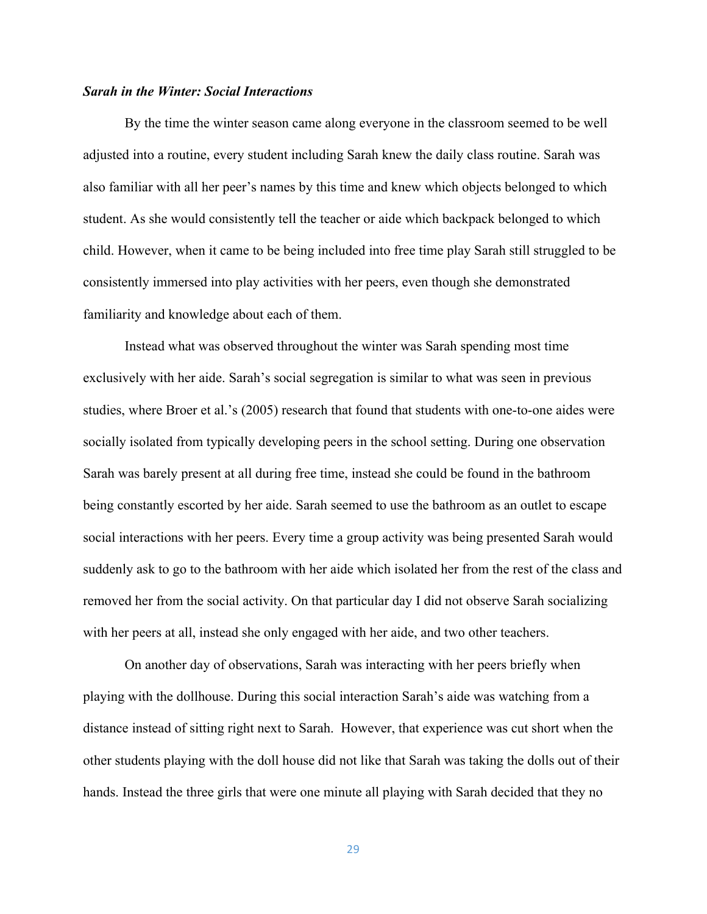# *Sarah in the Winter: Social Interactions*

By the time the winter season came along everyone in the classroom seemed to be well adjusted into a routine, every student including Sarah knew the daily class routine. Sarah was also familiar with all her peer's names by this time and knew which objects belonged to which student. As she would consistently tell the teacher or aide which backpack belonged to which child. However, when it came to be being included into free time play Sarah still struggled to be consistently immersed into play activities with her peers, even though she demonstrated familiarity and knowledge about each of them.

Instead what was observed throughout the winter was Sarah spending most time exclusively with her aide. Sarah's social segregation is similar to what was seen in previous studies, where Broer et al.'s (2005) research that found that students with one-to-one aides were socially isolated from typically developing peers in the school setting. During one observation Sarah was barely present at all during free time, instead she could be found in the bathroom being constantly escorted by her aide. Sarah seemed to use the bathroom as an outlet to escape social interactions with her peers. Every time a group activity was being presented Sarah would suddenly ask to go to the bathroom with her aide which isolated her from the rest of the class and removed her from the social activity. On that particular day I did not observe Sarah socializing with her peers at all, instead she only engaged with her aide, and two other teachers.

On another day of observations, Sarah was interacting with her peers briefly when playing with the dollhouse. During this social interaction Sarah's aide was watching from a distance instead of sitting right next to Sarah. However, that experience was cut short when the other students playing with the doll house did not like that Sarah was taking the dolls out of their hands. Instead the three girls that were one minute all playing with Sarah decided that they no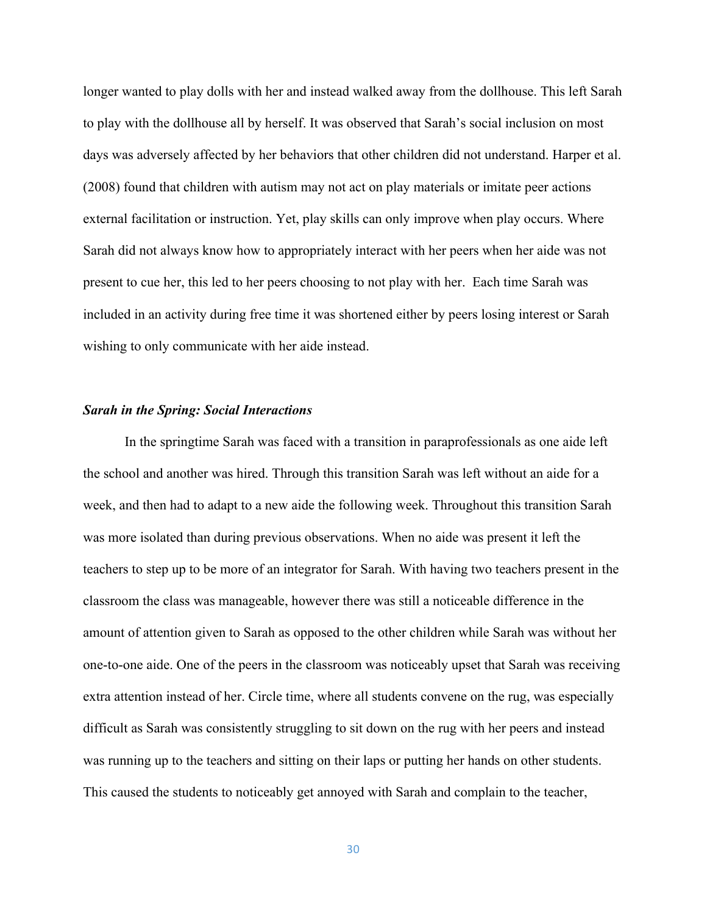longer wanted to play dolls with her and instead walked away from the dollhouse. This left Sarah to play with the dollhouse all by herself. It was observed that Sarah's social inclusion on most days was adversely affected by her behaviors that other children did not understand. Harper et al. (2008) found that children with autism may not act on play materials or imitate peer actions external facilitation or instruction. Yet, play skills can only improve when play occurs. Where Sarah did not always know how to appropriately interact with her peers when her aide was not present to cue her, this led to her peers choosing to not play with her. Each time Sarah was included in an activity during free time it was shortened either by peers losing interest or Sarah wishing to only communicate with her aide instead.

## *Sarah in the Spring: Social Interactions*

In the springtime Sarah was faced with a transition in paraprofessionals as one aide left the school and another was hired. Through this transition Sarah was left without an aide for a week, and then had to adapt to a new aide the following week. Throughout this transition Sarah was more isolated than during previous observations. When no aide was present it left the teachers to step up to be more of an integrator for Sarah. With having two teachers present in the classroom the class was manageable, however there was still a noticeable difference in the amount of attention given to Sarah as opposed to the other children while Sarah was without her one-to-one aide. One of the peers in the classroom was noticeably upset that Sarah was receiving extra attention instead of her. Circle time, where all students convene on the rug, was especially difficult as Sarah was consistently struggling to sit down on the rug with her peers and instead was running up to the teachers and sitting on their laps or putting her hands on other students. This caused the students to noticeably get annoyed with Sarah and complain to the teacher,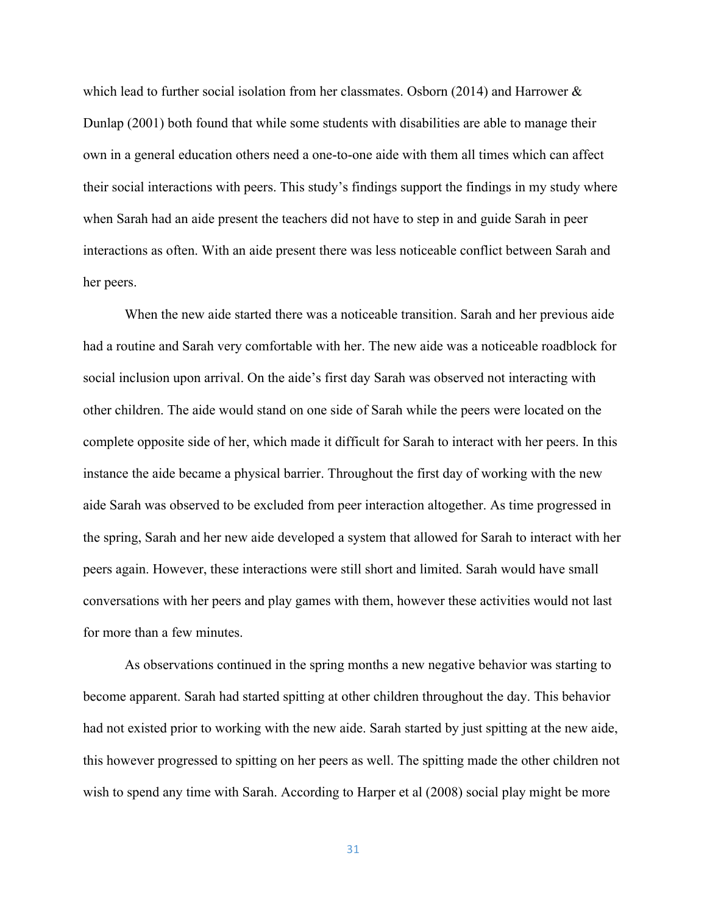which lead to further social isolation from her classmates. Osborn (2014) and Harrower  $\&$ Dunlap (2001) both found that while some students with disabilities are able to manage their own in a general education others need a one-to-one aide with them all times which can affect their social interactions with peers. This study's findings support the findings in my study where when Sarah had an aide present the teachers did not have to step in and guide Sarah in peer interactions as often. With an aide present there was less noticeable conflict between Sarah and her peers.

When the new aide started there was a noticeable transition. Sarah and her previous aide had a routine and Sarah very comfortable with her. The new aide was a noticeable roadblock for social inclusion upon arrival. On the aide's first day Sarah was observed not interacting with other children. The aide would stand on one side of Sarah while the peers were located on the complete opposite side of her, which made it difficult for Sarah to interact with her peers. In this instance the aide became a physical barrier. Throughout the first day of working with the new aide Sarah was observed to be excluded from peer interaction altogether. As time progressed in the spring, Sarah and her new aide developed a system that allowed for Sarah to interact with her peers again. However, these interactions were still short and limited. Sarah would have small conversations with her peers and play games with them, however these activities would not last for more than a few minutes.

As observations continued in the spring months a new negative behavior was starting to become apparent. Sarah had started spitting at other children throughout the day. This behavior had not existed prior to working with the new aide. Sarah started by just spitting at the new aide, this however progressed to spitting on her peers as well. The spitting made the other children not wish to spend any time with Sarah. According to Harper et al (2008) social play might be more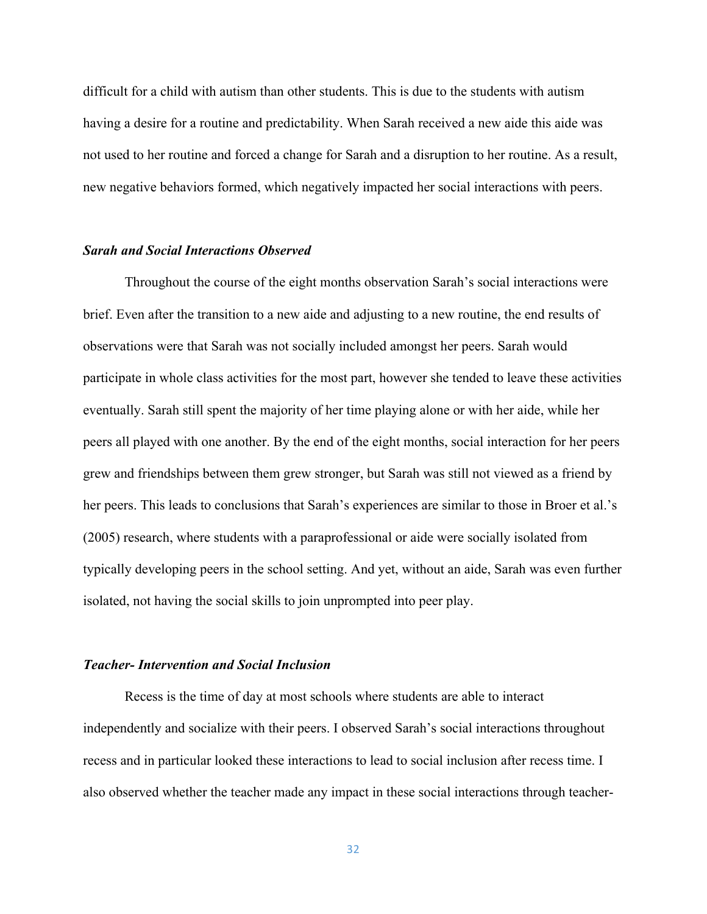difficult for a child with autism than other students. This is due to the students with autism having a desire for a routine and predictability. When Sarah received a new aide this aide was not used to her routine and forced a change for Sarah and a disruption to her routine. As a result, new negative behaviors formed, which negatively impacted her social interactions with peers.

#### *Sarah and Social Interactions Observed*

Throughout the course of the eight months observation Sarah's social interactions were brief. Even after the transition to a new aide and adjusting to a new routine, the end results of observations were that Sarah was not socially included amongst her peers. Sarah would participate in whole class activities for the most part, however she tended to leave these activities eventually. Sarah still spent the majority of her time playing alone or with her aide, while her peers all played with one another. By the end of the eight months, social interaction for her peers grew and friendships between them grew stronger, but Sarah was still not viewed as a friend by her peers. This leads to conclusions that Sarah's experiences are similar to those in Broer et al.'s (2005) research, where students with a paraprofessional or aide were socially isolated from typically developing peers in the school setting. And yet, without an aide, Sarah was even further isolated, not having the social skills to join unprompted into peer play.

# *Teacher- Intervention and Social Inclusion*

Recess is the time of day at most schools where students are able to interact independently and socialize with their peers. I observed Sarah's social interactions throughout recess and in particular looked these interactions to lead to social inclusion after recess time. I also observed whether the teacher made any impact in these social interactions through teacher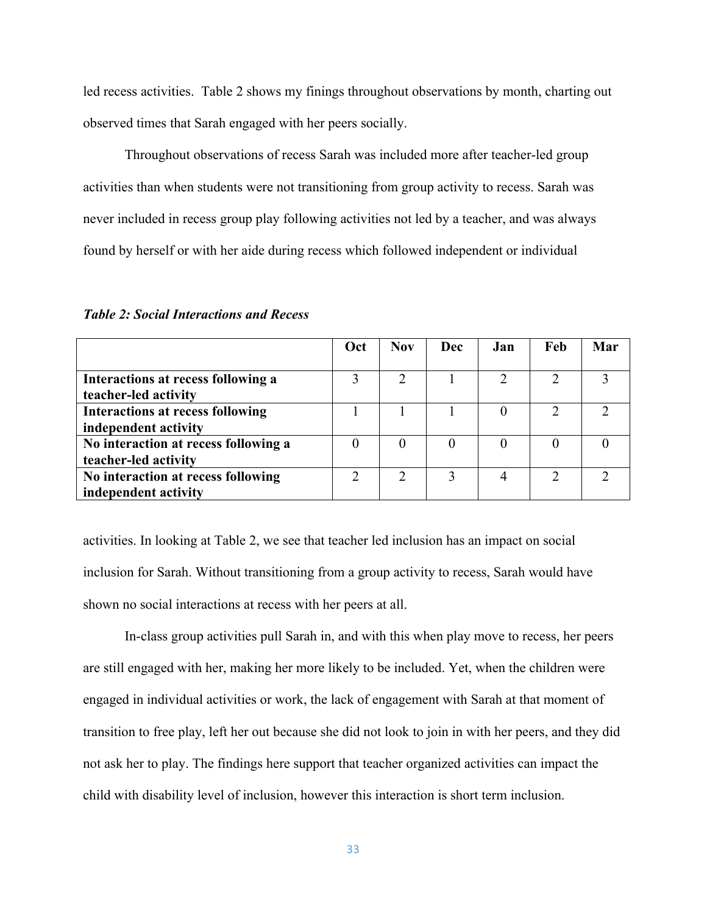led recess activities. Table 2 shows my finings throughout observations by month, charting out observed times that Sarah engaged with her peers socially.

Throughout observations of recess Sarah was included more after teacher-led group activities than when students were not transitioning from group activity to recess. Sarah was never included in recess group play following activities not led by a teacher, and was always found by herself or with her aide during recess which followed independent or individual

|                                         | Oct | <b>Nov</b> | Dec | Jan | Feb | Mar |
|-----------------------------------------|-----|------------|-----|-----|-----|-----|
|                                         |     |            |     |     |     |     |
| Interactions at recess following a      |     |            |     |     |     |     |
| teacher-led activity                    |     |            |     |     |     |     |
| <b>Interactions at recess following</b> |     |            |     |     |     |     |
| independent activity                    |     |            |     |     |     |     |
| No interaction at recess following a    |     |            |     |     |     |     |
| teacher-led activity                    |     |            |     |     |     |     |
| No interaction at recess following      |     |            | 3   |     |     |     |
| independent activity                    |     |            |     |     |     |     |

*Table 2: Social Interactions and Recess*

activities. In looking at Table 2, we see that teacher led inclusion has an impact on social inclusion for Sarah. Without transitioning from a group activity to recess, Sarah would have shown no social interactions at recess with her peers at all.

In-class group activities pull Sarah in, and with this when play move to recess, her peers are still engaged with her, making her more likely to be included. Yet, when the children were engaged in individual activities or work, the lack of engagement with Sarah at that moment of transition to free play, left her out because she did not look to join in with her peers, and they did not ask her to play. The findings here support that teacher organized activities can impact the child with disability level of inclusion, however this interaction is short term inclusion.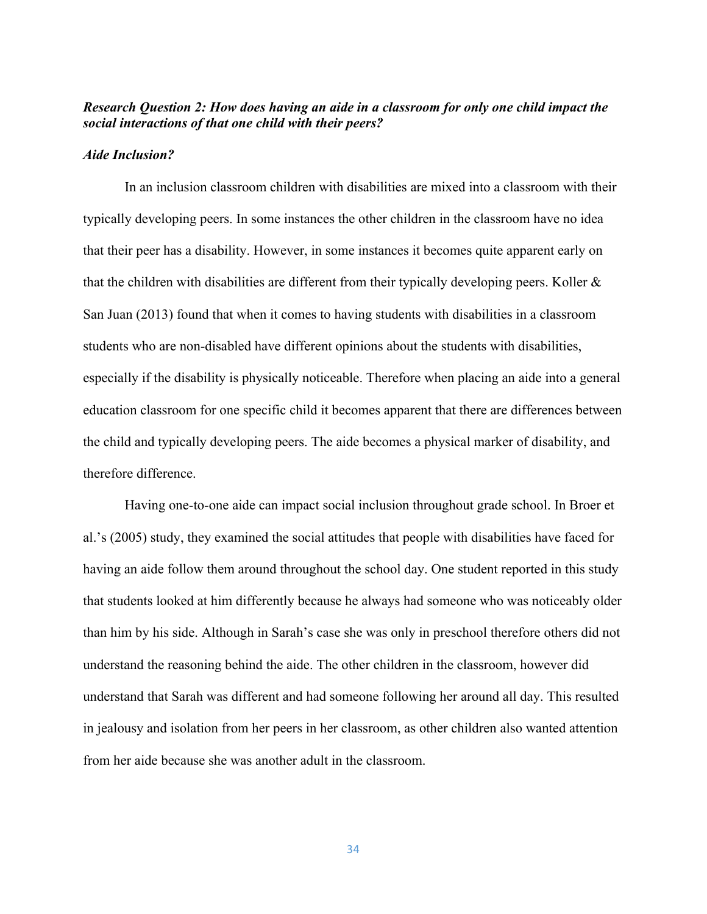# *Research Question 2: How does having an aide in a classroom for only one child impact the social interactions of that one child with their peers?*

#### *Aide Inclusion?*

In an inclusion classroom children with disabilities are mixed into a classroom with their typically developing peers. In some instances the other children in the classroom have no idea that their peer has a disability. However, in some instances it becomes quite apparent early on that the children with disabilities are different from their typically developing peers. Koller  $\&$ San Juan (2013) found that when it comes to having students with disabilities in a classroom students who are non-disabled have different opinions about the students with disabilities, especially if the disability is physically noticeable. Therefore when placing an aide into a general education classroom for one specific child it becomes apparent that there are differences between the child and typically developing peers. The aide becomes a physical marker of disability, and therefore difference.

Having one-to-one aide can impact social inclusion throughout grade school. In Broer et al.'s (2005) study, they examined the social attitudes that people with disabilities have faced for having an aide follow them around throughout the school day. One student reported in this study that students looked at him differently because he always had someone who was noticeably older than him by his side. Although in Sarah's case she was only in preschool therefore others did not understand the reasoning behind the aide. The other children in the classroom, however did understand that Sarah was different and had someone following her around all day. This resulted in jealousy and isolation from her peers in her classroom, as other children also wanted attention from her aide because she was another adult in the classroom.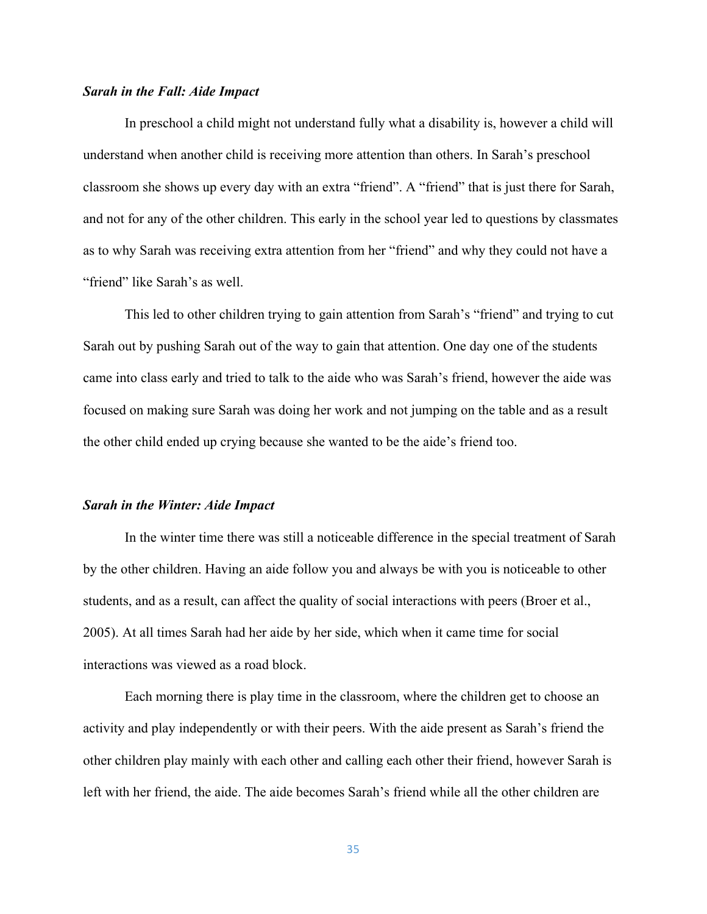#### *Sarah in the Fall: Aide Impact*

In preschool a child might not understand fully what a disability is, however a child will understand when another child is receiving more attention than others. In Sarah's preschool classroom she shows up every day with an extra "friend". A "friend" that is just there for Sarah, and not for any of the other children. This early in the school year led to questions by classmates as to why Sarah was receiving extra attention from her "friend" and why they could not have a "friend" like Sarah's as well.

This led to other children trying to gain attention from Sarah's "friend" and trying to cut Sarah out by pushing Sarah out of the way to gain that attention. One day one of the students came into class early and tried to talk to the aide who was Sarah's friend, however the aide was focused on making sure Sarah was doing her work and not jumping on the table and as a result the other child ended up crying because she wanted to be the aide's friend too.

#### *Sarah in the Winter: Aide Impact*

In the winter time there was still a noticeable difference in the special treatment of Sarah by the other children. Having an aide follow you and always be with you is noticeable to other students, and as a result, can affect the quality of social interactions with peers (Broer et al., 2005). At all times Sarah had her aide by her side, which when it came time for social interactions was viewed as a road block.

Each morning there is play time in the classroom, where the children get to choose an activity and play independently or with their peers. With the aide present as Sarah's friend the other children play mainly with each other and calling each other their friend, however Sarah is left with her friend, the aide. The aide becomes Sarah's friend while all the other children are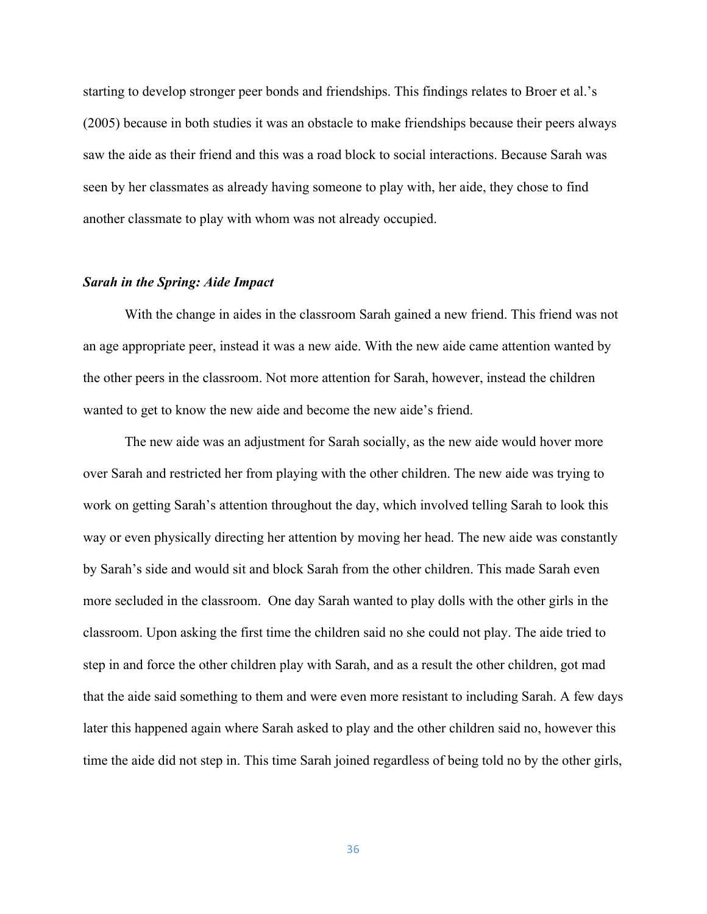starting to develop stronger peer bonds and friendships. This findings relates to Broer et al.'s (2005) because in both studies it was an obstacle to make friendships because their peers always saw the aide as their friend and this was a road block to social interactions. Because Sarah was seen by her classmates as already having someone to play with, her aide, they chose to find another classmate to play with whom was not already occupied.

## *Sarah in the Spring: Aide Impact*

With the change in aides in the classroom Sarah gained a new friend. This friend was not an age appropriate peer, instead it was a new aide. With the new aide came attention wanted by the other peers in the classroom. Not more attention for Sarah, however, instead the children wanted to get to know the new aide and become the new aide's friend.

The new aide was an adjustment for Sarah socially, as the new aide would hover more over Sarah and restricted her from playing with the other children. The new aide was trying to work on getting Sarah's attention throughout the day, which involved telling Sarah to look this way or even physically directing her attention by moving her head. The new aide was constantly by Sarah's side and would sit and block Sarah from the other children. This made Sarah even more secluded in the classroom. One day Sarah wanted to play dolls with the other girls in the classroom. Upon asking the first time the children said no she could not play. The aide tried to step in and force the other children play with Sarah, and as a result the other children, got mad that the aide said something to them and were even more resistant to including Sarah. A few days later this happened again where Sarah asked to play and the other children said no, however this time the aide did not step in. This time Sarah joined regardless of being told no by the other girls,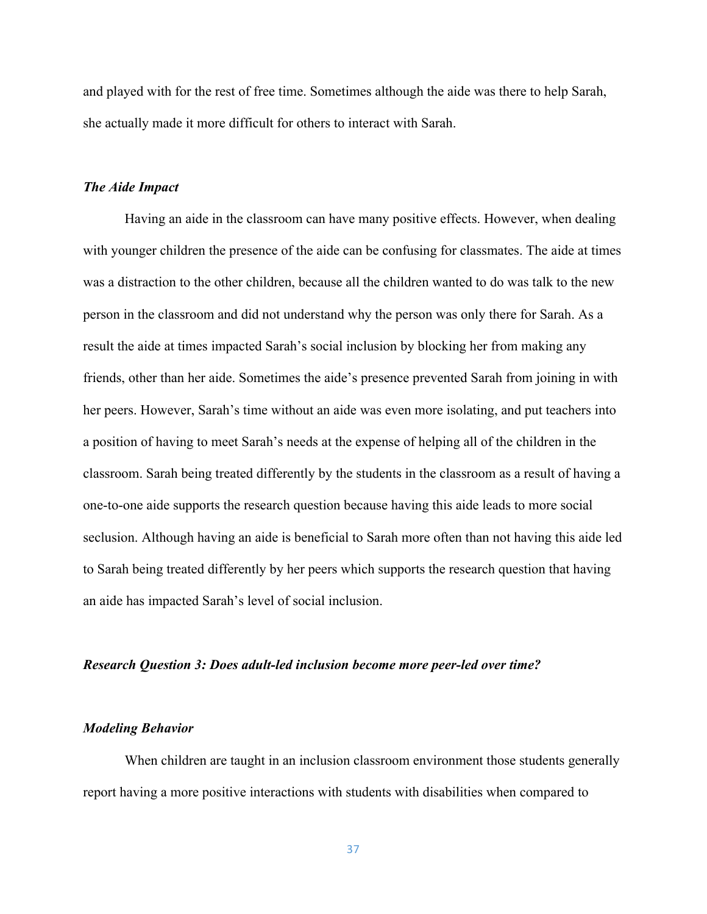and played with for the rest of free time. Sometimes although the aide was there to help Sarah, she actually made it more difficult for others to interact with Sarah.

#### *The Aide Impact*

Having an aide in the classroom can have many positive effects. However, when dealing with younger children the presence of the aide can be confusing for classmates. The aide at times was a distraction to the other children, because all the children wanted to do was talk to the new person in the classroom and did not understand why the person was only there for Sarah. As a result the aide at times impacted Sarah's social inclusion by blocking her from making any friends, other than her aide. Sometimes the aide's presence prevented Sarah from joining in with her peers. However, Sarah's time without an aide was even more isolating, and put teachers into a position of having to meet Sarah's needs at the expense of helping all of the children in the classroom. Sarah being treated differently by the students in the classroom as a result of having a one-to-one aide supports the research question because having this aide leads to more social seclusion. Although having an aide is beneficial to Sarah more often than not having this aide led to Sarah being treated differently by her peers which supports the research question that having an aide has impacted Sarah's level of social inclusion.

#### *Research Question 3: Does adult-led inclusion become more peer-led over time?*

#### *Modeling Behavior*

When children are taught in an inclusion classroom environment those students generally report having a more positive interactions with students with disabilities when compared to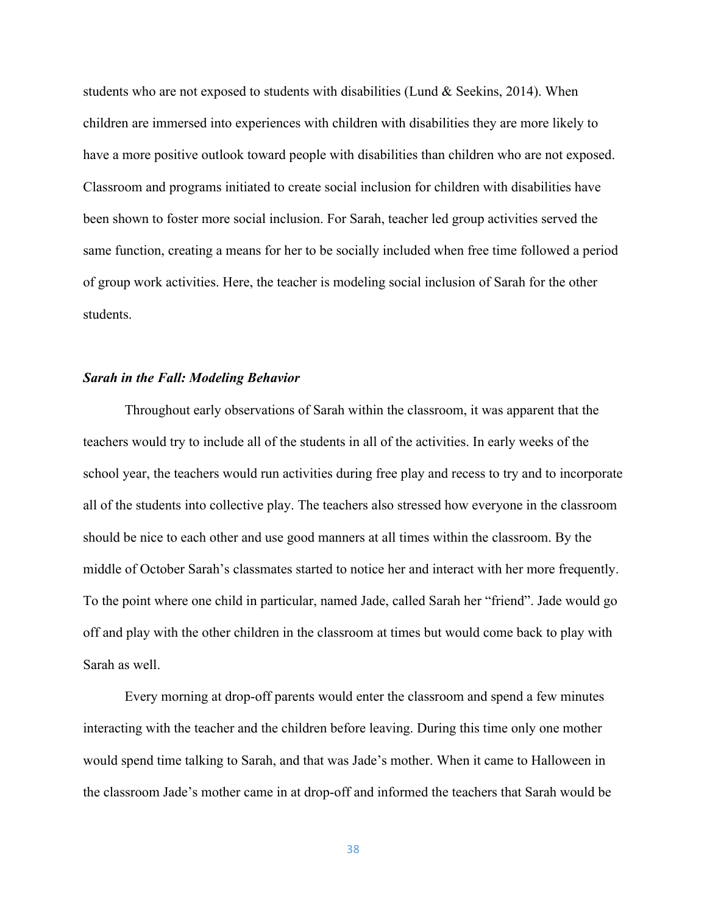students who are not exposed to students with disabilities (Lund  $\&$  Seekins, 2014). When children are immersed into experiences with children with disabilities they are more likely to have a more positive outlook toward people with disabilities than children who are not exposed. Classroom and programs initiated to create social inclusion for children with disabilities have been shown to foster more social inclusion. For Sarah, teacher led group activities served the same function, creating a means for her to be socially included when free time followed a period of group work activities. Here, the teacher is modeling social inclusion of Sarah for the other students.

#### *Sarah in the Fall: Modeling Behavior*

Throughout early observations of Sarah within the classroom, it was apparent that the teachers would try to include all of the students in all of the activities. In early weeks of the school year, the teachers would run activities during free play and recess to try and to incorporate all of the students into collective play. The teachers also stressed how everyone in the classroom should be nice to each other and use good manners at all times within the classroom. By the middle of October Sarah's classmates started to notice her and interact with her more frequently. To the point where one child in particular, named Jade, called Sarah her "friend". Jade would go off and play with the other children in the classroom at times but would come back to play with Sarah as well.

Every morning at drop-off parents would enter the classroom and spend a few minutes interacting with the teacher and the children before leaving. During this time only one mother would spend time talking to Sarah, and that was Jade's mother. When it came to Halloween in the classroom Jade's mother came in at drop-off and informed the teachers that Sarah would be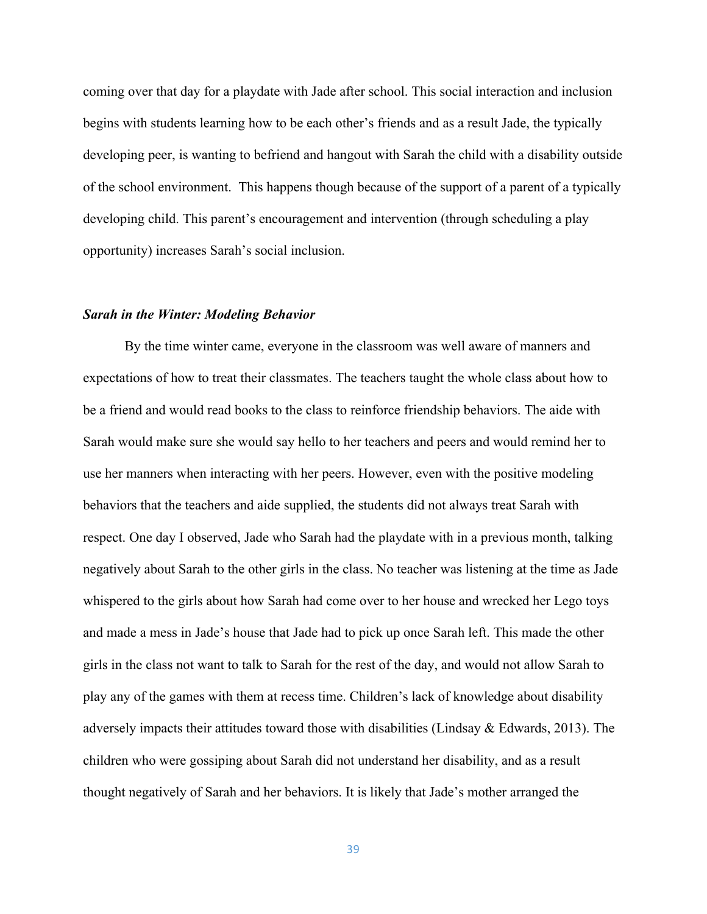coming over that day for a playdate with Jade after school. This social interaction and inclusion begins with students learning how to be each other's friends and as a result Jade, the typically developing peer, is wanting to befriend and hangout with Sarah the child with a disability outside of the school environment. This happens though because of the support of a parent of a typically developing child. This parent's encouragement and intervention (through scheduling a play opportunity) increases Sarah's social inclusion.

#### *Sarah in the Winter: Modeling Behavior*

By the time winter came, everyone in the classroom was well aware of manners and expectations of how to treat their classmates. The teachers taught the whole class about how to be a friend and would read books to the class to reinforce friendship behaviors. The aide with Sarah would make sure she would say hello to her teachers and peers and would remind her to use her manners when interacting with her peers. However, even with the positive modeling behaviors that the teachers and aide supplied, the students did not always treat Sarah with respect. One day I observed, Jade who Sarah had the playdate with in a previous month, talking negatively about Sarah to the other girls in the class. No teacher was listening at the time as Jade whispered to the girls about how Sarah had come over to her house and wrecked her Lego toys and made a mess in Jade's house that Jade had to pick up once Sarah left. This made the other girls in the class not want to talk to Sarah for the rest of the day, and would not allow Sarah to play any of the games with them at recess time. Children's lack of knowledge about disability adversely impacts their attitudes toward those with disabilities (Lindsay  $\&$  Edwards, 2013). The children who were gossiping about Sarah did not understand her disability, and as a result thought negatively of Sarah and her behaviors. It is likely that Jade's mother arranged the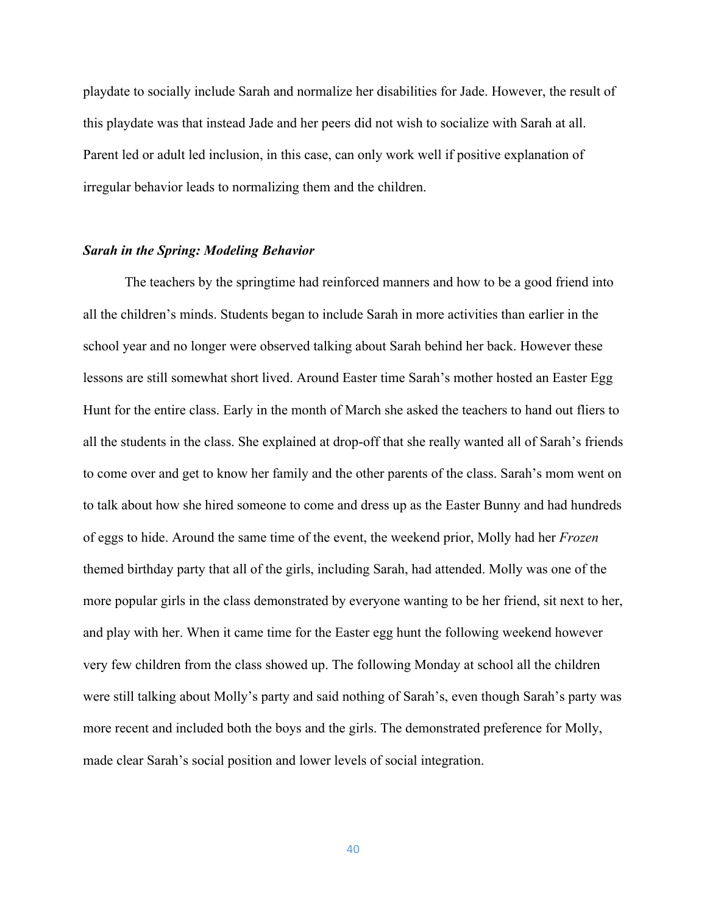playdate to socially include Sarah and normalize her disabilities for Jade. However, the result of this playdate was that instead Jade and her peers did not wish to socialize with Sarah at all. Parent led or adult led inclusion, in this case, can only work well if positive explanation of irregular behavior leads to normalizing them and the children.

#### *Sarah in the Spring: Modeling Behavior*

The teachers by the springtime had reinforced manners and how to be a good friend into all the children's minds. Students began to include Sarah in more activities than earlier in the school year and no longer were observed talking about Sarah behind her back. However these lessons are still somewhat short lived. Around Easter time Sarah's mother hosted an Easter Egg Hunt for the entire class. Early in the month of March she asked the teachers to hand out fliers to all the students in the class. She explained at drop-off that she really wanted all of Sarah's friends to come over and get to know her family and the other parents of the class. Sarah's mom went on to talk about how she hired someone to come and dress up as the Easter Bunny and had hundreds of eggs to hide. Around the same time of the event, the weekend prior, Molly had her *Frozen* themed birthday party that all of the girls, including Sarah, had attended. Molly was one of the more popular girls in the class demonstrated by everyone wanting to be her friend, sit next to her, and play with her. When it came time for the Easter egg hunt the following weekend however very few children from the class showed up. The following Monday at school all the children were still talking about Molly's party and said nothing of Sarah's, even though Sarah's party was more recent and included both the boys and the girls. The demonstrated preference for Molly, made clear Sarah's social position and lower levels of social integration.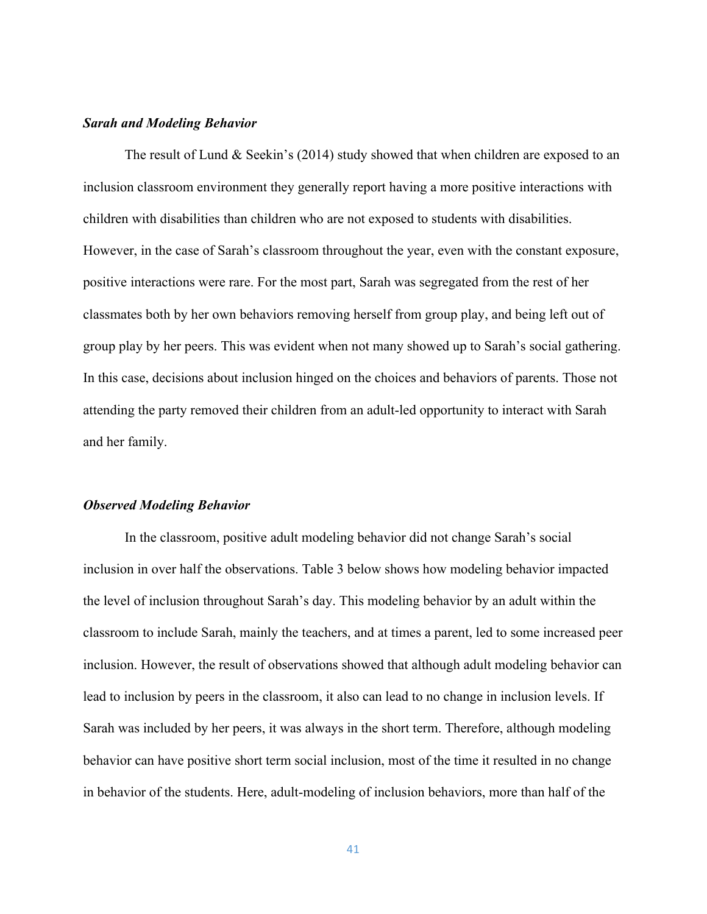#### *Sarah and Modeling Behavior*

The result of Lund & Seekin's (2014) study showed that when children are exposed to an inclusion classroom environment they generally report having a more positive interactions with children with disabilities than children who are not exposed to students with disabilities. However, in the case of Sarah's classroom throughout the year, even with the constant exposure, positive interactions were rare. For the most part, Sarah was segregated from the rest of her classmates both by her own behaviors removing herself from group play, and being left out of group play by her peers. This was evident when not many showed up to Sarah's social gathering. In this case, decisions about inclusion hinged on the choices and behaviors of parents. Those not attending the party removed their children from an adult-led opportunity to interact with Sarah and her family.

# *Observed Modeling Behavior*

In the classroom, positive adult modeling behavior did not change Sarah's social inclusion in over half the observations. Table 3 below shows how modeling behavior impacted the level of inclusion throughout Sarah's day. This modeling behavior by an adult within the classroom to include Sarah, mainly the teachers, and at times a parent, led to some increased peer inclusion. However, the result of observations showed that although adult modeling behavior can lead to inclusion by peers in the classroom, it also can lead to no change in inclusion levels. If Sarah was included by her peers, it was always in the short term. Therefore, although modeling behavior can have positive short term social inclusion, most of the time it resulted in no change in behavior of the students. Here, adult-modeling of inclusion behaviors, more than half of the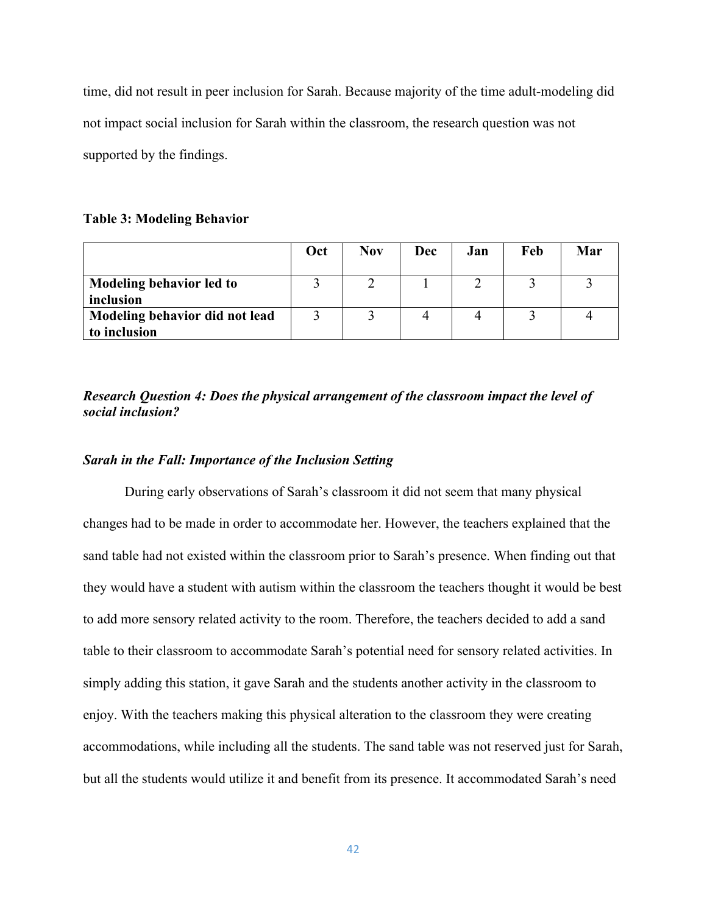time, did not result in peer inclusion for Sarah. Because majority of the time adult-modeling did not impact social inclusion for Sarah within the classroom, the research question was not supported by the findings.

# **Table 3: Modeling Behavior**

|                                | Oct | <b>Nov</b> | Dec | Jan | Feb | Mar |
|--------------------------------|-----|------------|-----|-----|-----|-----|
| Modeling behavior led to       |     |            |     |     |     |     |
| inclusion                      |     |            |     |     |     |     |
| Modeling behavior did not lead |     |            |     |     |     |     |
| to inclusion                   |     |            |     |     |     |     |

*Research Question 4: Does the physical arrangement of the classroom impact the level of social inclusion?* 

# *Sarah in the Fall: Importance of the Inclusion Setting*

During early observations of Sarah's classroom it did not seem that many physical changes had to be made in order to accommodate her. However, the teachers explained that the sand table had not existed within the classroom prior to Sarah's presence. When finding out that they would have a student with autism within the classroom the teachers thought it would be best to add more sensory related activity to the room. Therefore, the teachers decided to add a sand table to their classroom to accommodate Sarah's potential need for sensory related activities. In simply adding this station, it gave Sarah and the students another activity in the classroom to enjoy. With the teachers making this physical alteration to the classroom they were creating accommodations, while including all the students. The sand table was not reserved just for Sarah, but all the students would utilize it and benefit from its presence. It accommodated Sarah's need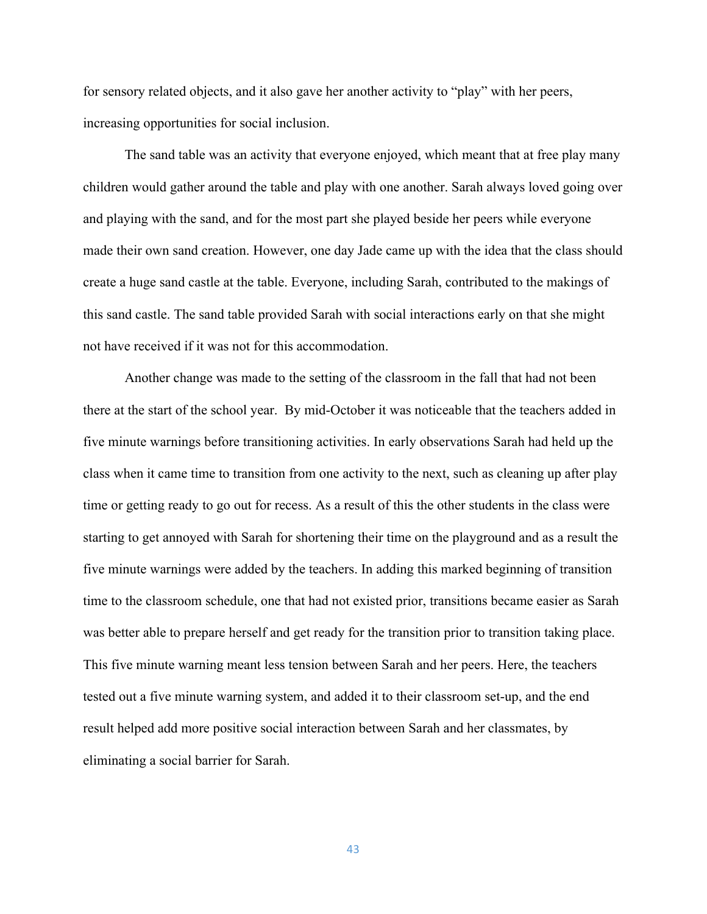for sensory related objects, and it also gave her another activity to "play" with her peers, increasing opportunities for social inclusion.

The sand table was an activity that everyone enjoyed, which meant that at free play many children would gather around the table and play with one another. Sarah always loved going over and playing with the sand, and for the most part she played beside her peers while everyone made their own sand creation. However, one day Jade came up with the idea that the class should create a huge sand castle at the table. Everyone, including Sarah, contributed to the makings of this sand castle. The sand table provided Sarah with social interactions early on that she might not have received if it was not for this accommodation.

Another change was made to the setting of the classroom in the fall that had not been there at the start of the school year. By mid-October it was noticeable that the teachers added in five minute warnings before transitioning activities. In early observations Sarah had held up the class when it came time to transition from one activity to the next, such as cleaning up after play time or getting ready to go out for recess. As a result of this the other students in the class were starting to get annoyed with Sarah for shortening their time on the playground and as a result the five minute warnings were added by the teachers. In adding this marked beginning of transition time to the classroom schedule, one that had not existed prior, transitions became easier as Sarah was better able to prepare herself and get ready for the transition prior to transition taking place. This five minute warning meant less tension between Sarah and her peers. Here, the teachers tested out a five minute warning system, and added it to their classroom set-up, and the end result helped add more positive social interaction between Sarah and her classmates, by eliminating a social barrier for Sarah.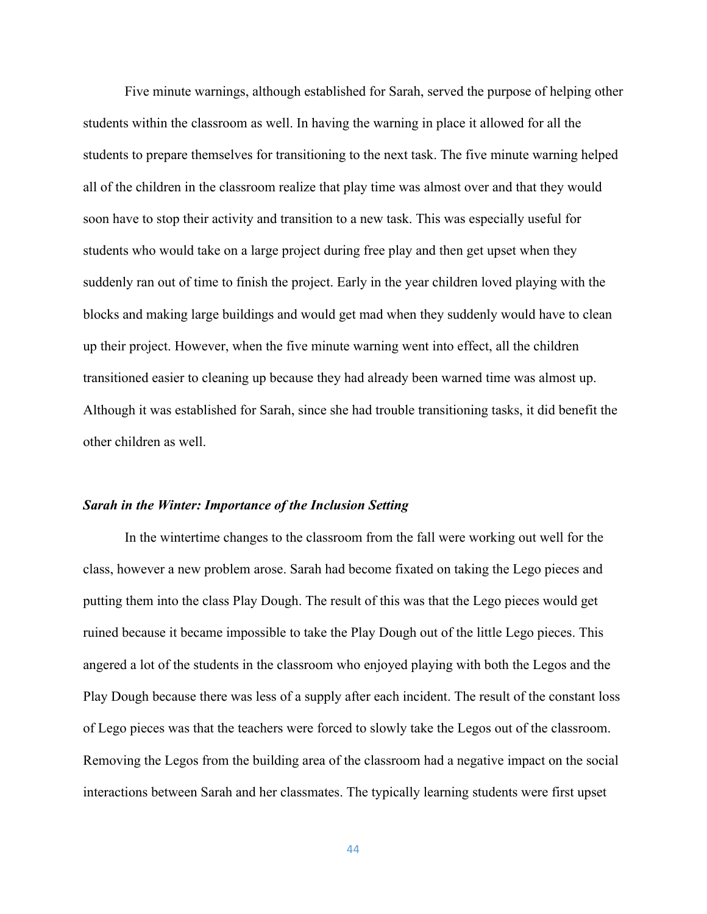Five minute warnings, although established for Sarah, served the purpose of helping other students within the classroom as well. In having the warning in place it allowed for all the students to prepare themselves for transitioning to the next task. The five minute warning helped all of the children in the classroom realize that play time was almost over and that they would soon have to stop their activity and transition to a new task. This was especially useful for students who would take on a large project during free play and then get upset when they suddenly ran out of time to finish the project. Early in the year children loved playing with the blocks and making large buildings and would get mad when they suddenly would have to clean up their project. However, when the five minute warning went into effect, all the children transitioned easier to cleaning up because they had already been warned time was almost up. Although it was established for Sarah, since she had trouble transitioning tasks, it did benefit the other children as well.

#### *Sarah in the Winter: Importance of the Inclusion Setting*

In the wintertime changes to the classroom from the fall were working out well for the class, however a new problem arose. Sarah had become fixated on taking the Lego pieces and putting them into the class Play Dough. The result of this was that the Lego pieces would get ruined because it became impossible to take the Play Dough out of the little Lego pieces. This angered a lot of the students in the classroom who enjoyed playing with both the Legos and the Play Dough because there was less of a supply after each incident. The result of the constant loss of Lego pieces was that the teachers were forced to slowly take the Legos out of the classroom. Removing the Legos from the building area of the classroom had a negative impact on the social interactions between Sarah and her classmates. The typically learning students were first upset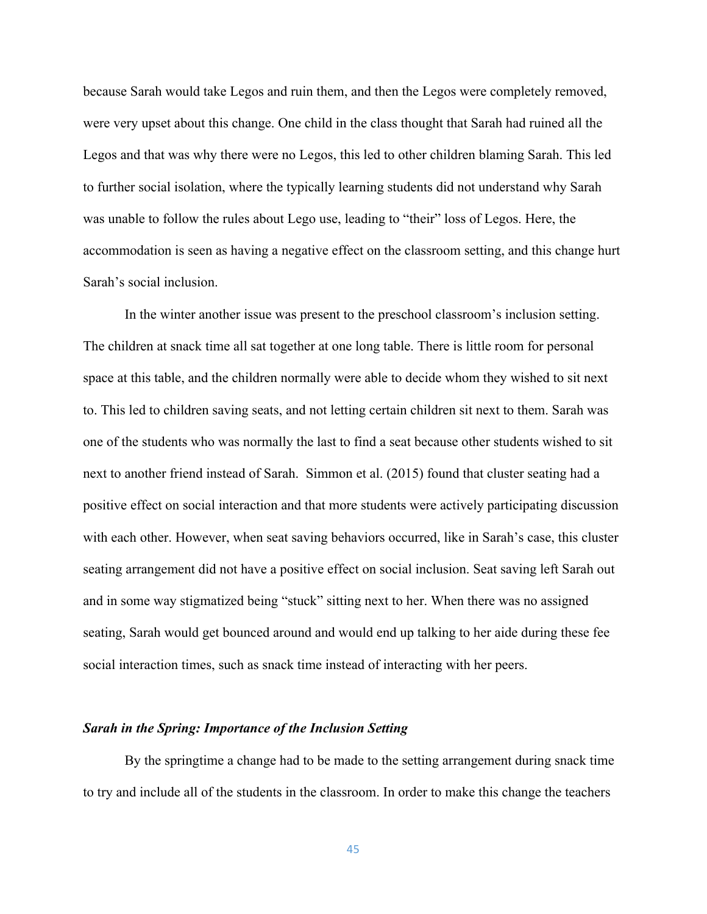because Sarah would take Legos and ruin them, and then the Legos were completely removed, were very upset about this change. One child in the class thought that Sarah had ruined all the Legos and that was why there were no Legos, this led to other children blaming Sarah. This led to further social isolation, where the typically learning students did not understand why Sarah was unable to follow the rules about Lego use, leading to "their" loss of Legos. Here, the accommodation is seen as having a negative effect on the classroom setting, and this change hurt Sarah's social inclusion.

In the winter another issue was present to the preschool classroom's inclusion setting. The children at snack time all sat together at one long table. There is little room for personal space at this table, and the children normally were able to decide whom they wished to sit next to. This led to children saving seats, and not letting certain children sit next to them. Sarah was one of the students who was normally the last to find a seat because other students wished to sit next to another friend instead of Sarah. Simmon et al. (2015) found that cluster seating had a positive effect on social interaction and that more students were actively participating discussion with each other. However, when seat saving behaviors occurred, like in Sarah's case, this cluster seating arrangement did not have a positive effect on social inclusion. Seat saving left Sarah out and in some way stigmatized being "stuck" sitting next to her. When there was no assigned seating, Sarah would get bounced around and would end up talking to her aide during these fee social interaction times, such as snack time instead of interacting with her peers.

#### *Sarah in the Spring: Importance of the Inclusion Setting*

By the springtime a change had to be made to the setting arrangement during snack time to try and include all of the students in the classroom. In order to make this change the teachers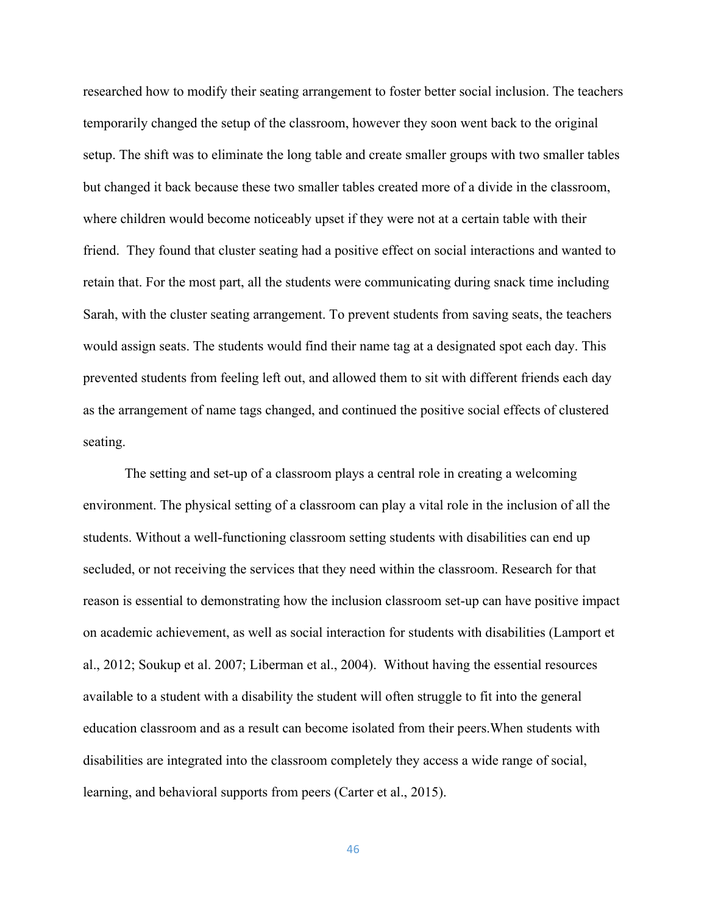researched how to modify their seating arrangement to foster better social inclusion. The teachers temporarily changed the setup of the classroom, however they soon went back to the original setup. The shift was to eliminate the long table and create smaller groups with two smaller tables but changed it back because these two smaller tables created more of a divide in the classroom, where children would become noticeably upset if they were not at a certain table with their friend. They found that cluster seating had a positive effect on social interactions and wanted to retain that. For the most part, all the students were communicating during snack time including Sarah, with the cluster seating arrangement. To prevent students from saving seats, the teachers would assign seats. The students would find their name tag at a designated spot each day. This prevented students from feeling left out, and allowed them to sit with different friends each day as the arrangement of name tags changed, and continued the positive social effects of clustered seating.

The setting and set-up of a classroom plays a central role in creating a welcoming environment. The physical setting of a classroom can play a vital role in the inclusion of all the students. Without a well-functioning classroom setting students with disabilities can end up secluded, or not receiving the services that they need within the classroom. Research for that reason is essential to demonstrating how the inclusion classroom set-up can have positive impact on academic achievement, as well as social interaction for students with disabilities (Lamport et al., 2012; Soukup et al. 2007; Liberman et al., 2004). Without having the essential resources available to a student with a disability the student will often struggle to fit into the general education classroom and as a result can become isolated from their peers.When students with disabilities are integrated into the classroom completely they access a wide range of social, learning, and behavioral supports from peers (Carter et al., 2015).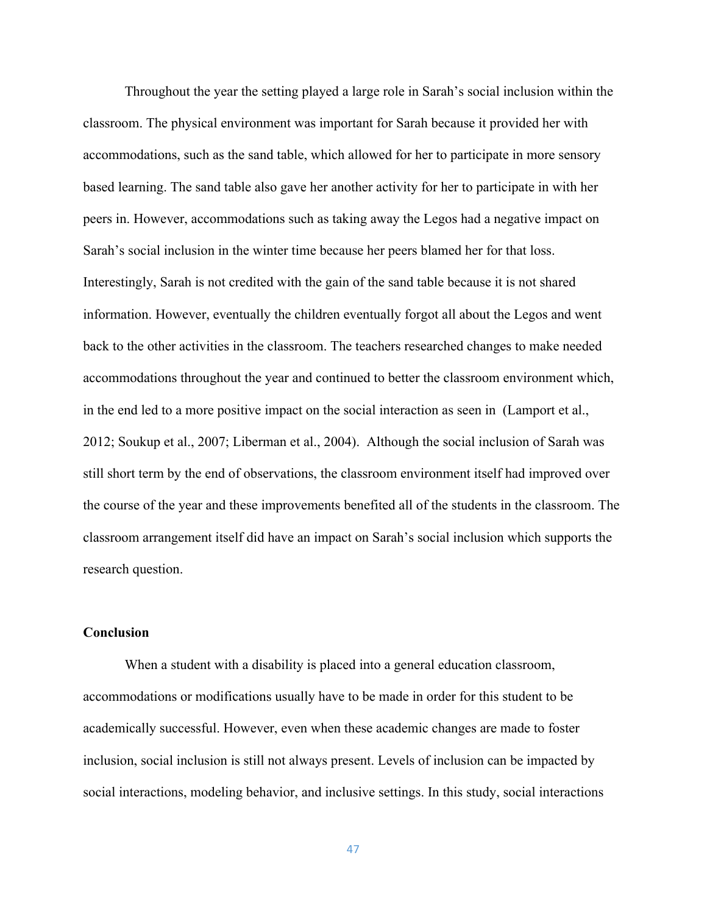Throughout the year the setting played a large role in Sarah's social inclusion within the classroom. The physical environment was important for Sarah because it provided her with accommodations, such as the sand table, which allowed for her to participate in more sensory based learning. The sand table also gave her another activity for her to participate in with her peers in. However, accommodations such as taking away the Legos had a negative impact on Sarah's social inclusion in the winter time because her peers blamed her for that loss. Interestingly, Sarah is not credited with the gain of the sand table because it is not shared information. However, eventually the children eventually forgot all about the Legos and went back to the other activities in the classroom. The teachers researched changes to make needed accommodations throughout the year and continued to better the classroom environment which, in the end led to a more positive impact on the social interaction as seen in (Lamport et al., 2012; Soukup et al., 2007; Liberman et al., 2004). Although the social inclusion of Sarah was still short term by the end of observations, the classroom environment itself had improved over the course of the year and these improvements benefited all of the students in the classroom. The classroom arrangement itself did have an impact on Sarah's social inclusion which supports the research question.

# **Conclusion**

When a student with a disability is placed into a general education classroom, accommodations or modifications usually have to be made in order for this student to be academically successful. However, even when these academic changes are made to foster inclusion, social inclusion is still not always present. Levels of inclusion can be impacted by social interactions, modeling behavior, and inclusive settings. In this study, social interactions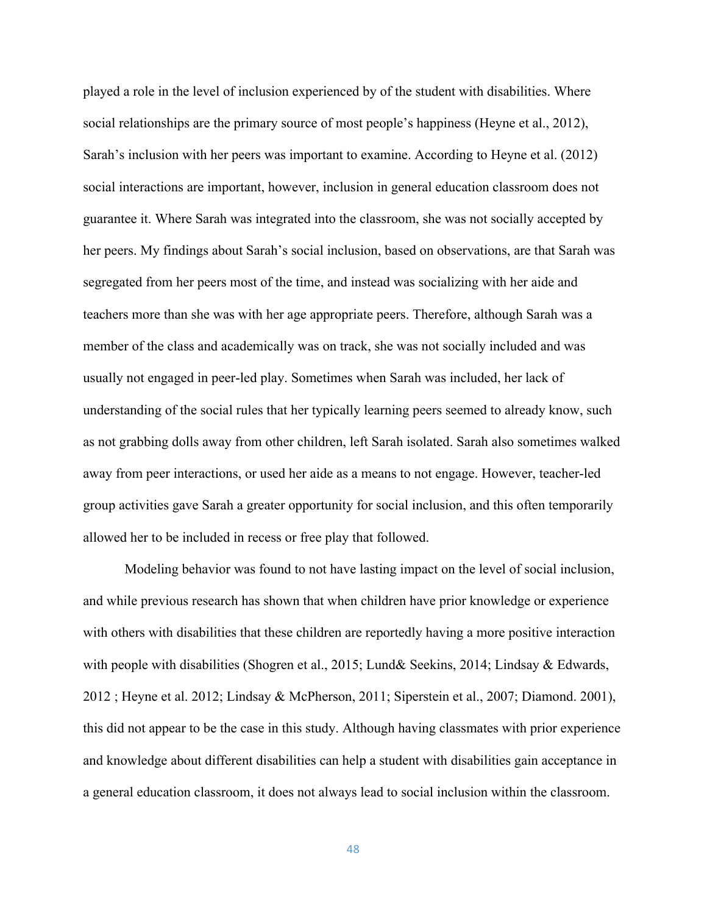played a role in the level of inclusion experienced by of the student with disabilities. Where social relationships are the primary source of most people's happiness (Heyne et al., 2012), Sarah's inclusion with her peers was important to examine. According to Heyne et al. (2012) social interactions are important, however, inclusion in general education classroom does not guarantee it. Where Sarah was integrated into the classroom, she was not socially accepted by her peers. My findings about Sarah's social inclusion, based on observations, are that Sarah was segregated from her peers most of the time, and instead was socializing with her aide and teachers more than she was with her age appropriate peers. Therefore, although Sarah was a member of the class and academically was on track, she was not socially included and was usually not engaged in peer-led play. Sometimes when Sarah was included, her lack of understanding of the social rules that her typically learning peers seemed to already know, such as not grabbing dolls away from other children, left Sarah isolated. Sarah also sometimes walked away from peer interactions, or used her aide as a means to not engage. However, teacher-led group activities gave Sarah a greater opportunity for social inclusion, and this often temporarily allowed her to be included in recess or free play that followed.

Modeling behavior was found to not have lasting impact on the level of social inclusion, and while previous research has shown that when children have prior knowledge or experience with others with disabilities that these children are reportedly having a more positive interaction with people with disabilities (Shogren et al., 2015; Lund& Seekins, 2014; Lindsay & Edwards, 2012 ; Heyne et al. 2012; Lindsay & McPherson, 2011; Siperstein et al., 2007; Diamond. 2001), this did not appear to be the case in this study. Although having classmates with prior experience and knowledge about different disabilities can help a student with disabilities gain acceptance in a general education classroom, it does not always lead to social inclusion within the classroom.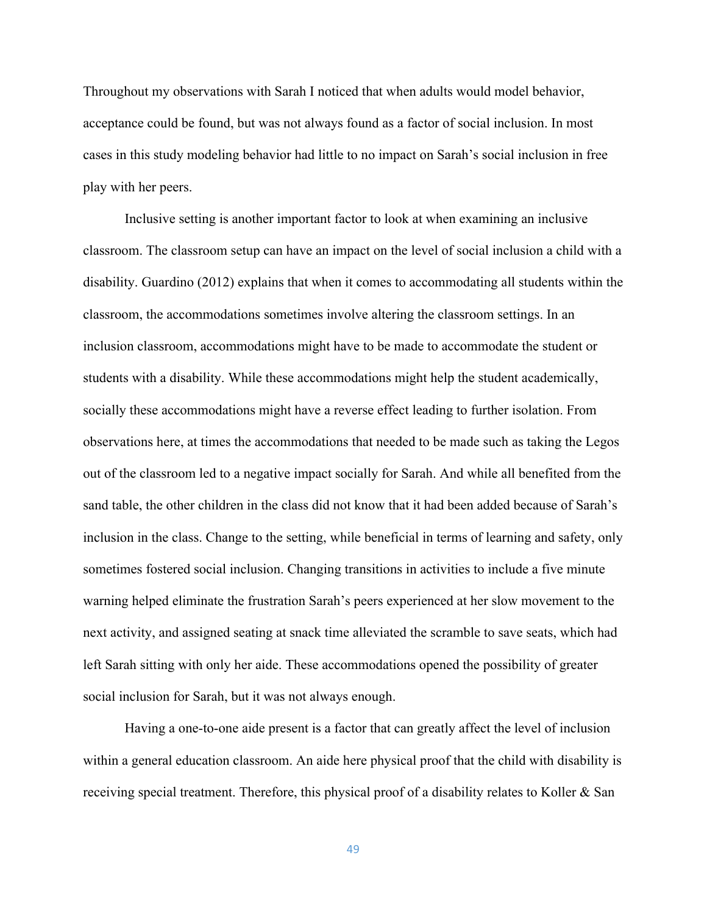Throughout my observations with Sarah I noticed that when adults would model behavior, acceptance could be found, but was not always found as a factor of social inclusion. In most cases in this study modeling behavior had little to no impact on Sarah's social inclusion in free play with her peers.

Inclusive setting is another important factor to look at when examining an inclusive classroom. The classroom setup can have an impact on the level of social inclusion a child with a disability. Guardino (2012) explains that when it comes to accommodating all students within the classroom, the accommodations sometimes involve altering the classroom settings. In an inclusion classroom, accommodations might have to be made to accommodate the student or students with a disability. While these accommodations might help the student academically, socially these accommodations might have a reverse effect leading to further isolation. From observations here, at times the accommodations that needed to be made such as taking the Legos out of the classroom led to a negative impact socially for Sarah. And while all benefited from the sand table, the other children in the class did not know that it had been added because of Sarah's inclusion in the class. Change to the setting, while beneficial in terms of learning and safety, only sometimes fostered social inclusion. Changing transitions in activities to include a five minute warning helped eliminate the frustration Sarah's peers experienced at her slow movement to the next activity, and assigned seating at snack time alleviated the scramble to save seats, which had left Sarah sitting with only her aide. These accommodations opened the possibility of greater social inclusion for Sarah, but it was not always enough.

Having a one-to-one aide present is a factor that can greatly affect the level of inclusion within a general education classroom. An aide here physical proof that the child with disability is receiving special treatment. Therefore, this physical proof of a disability relates to Koller & San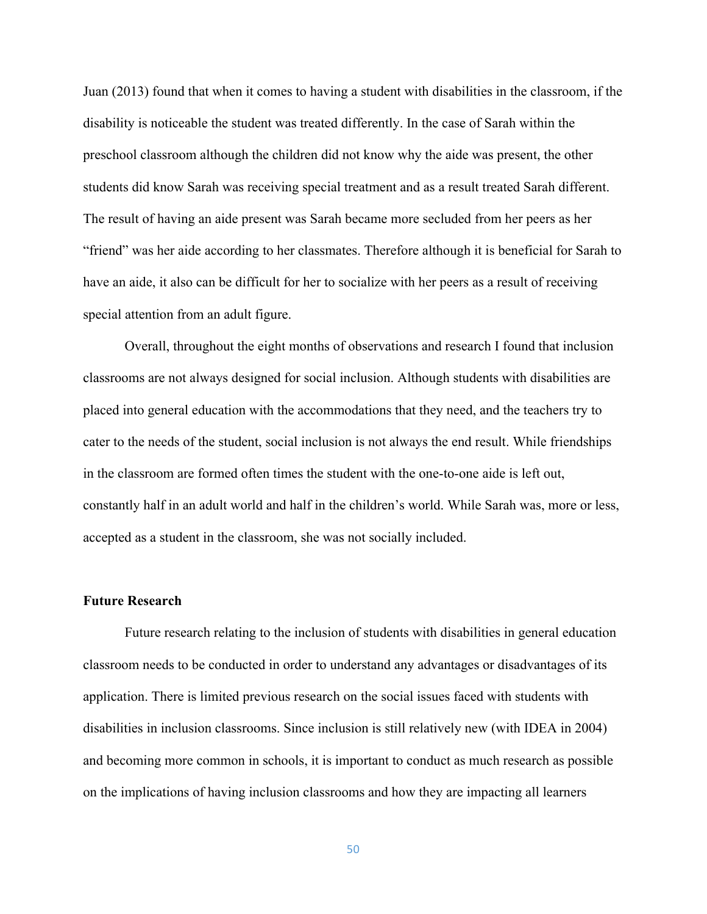Juan (2013) found that when it comes to having a student with disabilities in the classroom, if the disability is noticeable the student was treated differently. In the case of Sarah within the preschool classroom although the children did not know why the aide was present, the other students did know Sarah was receiving special treatment and as a result treated Sarah different. The result of having an aide present was Sarah became more secluded from her peers as her "friend" was her aide according to her classmates. Therefore although it is beneficial for Sarah to have an aide, it also can be difficult for her to socialize with her peers as a result of receiving special attention from an adult figure.

Overall, throughout the eight months of observations and research I found that inclusion classrooms are not always designed for social inclusion. Although students with disabilities are placed into general education with the accommodations that they need, and the teachers try to cater to the needs of the student, social inclusion is not always the end result. While friendships in the classroom are formed often times the student with the one-to-one aide is left out, constantly half in an adult world and half in the children's world. While Sarah was, more or less, accepted as a student in the classroom, she was not socially included.

### **Future Research**

Future research relating to the inclusion of students with disabilities in general education classroom needs to be conducted in order to understand any advantages or disadvantages of its application. There is limited previous research on the social issues faced with students with disabilities in inclusion classrooms. Since inclusion is still relatively new (with IDEA in 2004) and becoming more common in schools, it is important to conduct as much research as possible on the implications of having inclusion classrooms and how they are impacting all learners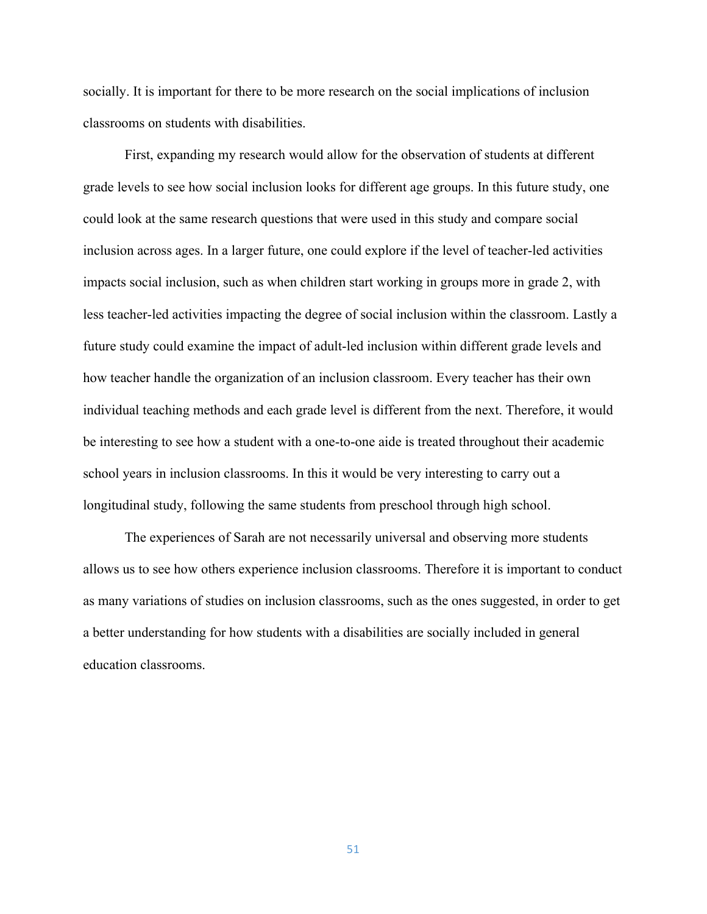socially. It is important for there to be more research on the social implications of inclusion classrooms on students with disabilities.

First, expanding my research would allow for the observation of students at different grade levels to see how social inclusion looks for different age groups. In this future study, one could look at the same research questions that were used in this study and compare social inclusion across ages. In a larger future, one could explore if the level of teacher-led activities impacts social inclusion, such as when children start working in groups more in grade 2, with less teacher-led activities impacting the degree of social inclusion within the classroom. Lastly a future study could examine the impact of adult-led inclusion within different grade levels and how teacher handle the organization of an inclusion classroom. Every teacher has their own individual teaching methods and each grade level is different from the next. Therefore, it would be interesting to see how a student with a one-to-one aide is treated throughout their academic school years in inclusion classrooms. In this it would be very interesting to carry out a longitudinal study, following the same students from preschool through high school.

The experiences of Sarah are not necessarily universal and observing more students allows us to see how others experience inclusion classrooms. Therefore it is important to conduct as many variations of studies on inclusion classrooms, such as the ones suggested, in order to get a better understanding for how students with a disabilities are socially included in general education classrooms.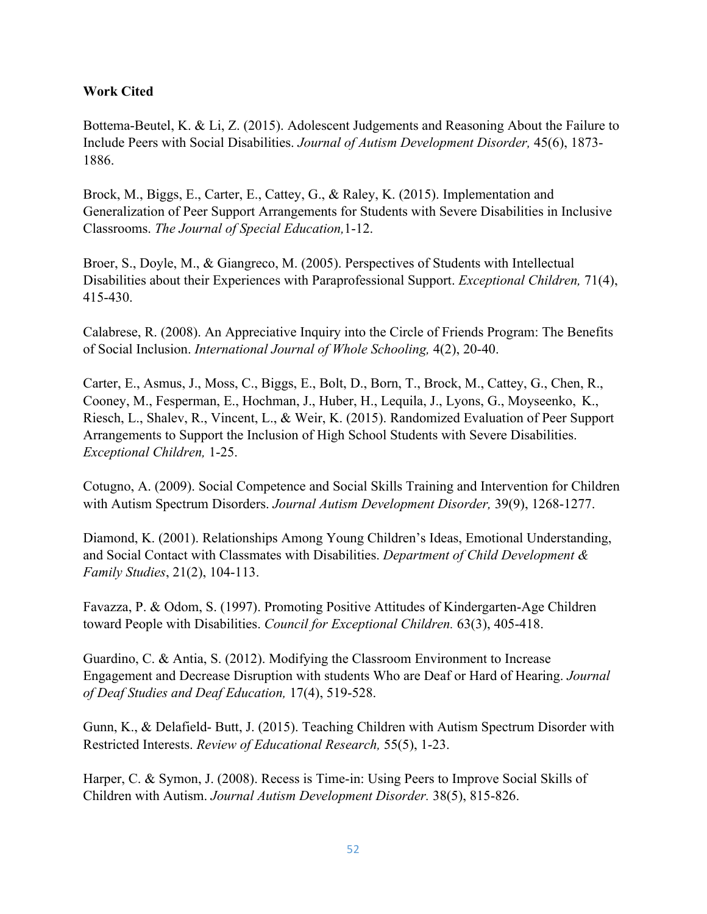# **Work Cited**

Bottema-Beutel, K. & Li, Z. (2015). Adolescent Judgements and Reasoning About the Failure to Include Peers with Social Disabilities. *Journal of Autism Development Disorder,* 45(6), 1873- 1886.

Brock, M., Biggs, E., Carter, E., Cattey, G., & Raley, K. (2015). Implementation and Generalization of Peer Support Arrangements for Students with Severe Disabilities in Inclusive Classrooms. *The Journal of Special Education,*1-12.

Broer, S., Doyle, M., & Giangreco, M. (2005). Perspectives of Students with Intellectual Disabilities about their Experiences with Paraprofessional Support. *Exceptional Children,* 71(4), 415-430.

Calabrese, R. (2008). An Appreciative Inquiry into the Circle of Friends Program: The Benefits of Social Inclusion. *International Journal of Whole Schooling,* 4(2), 20-40.

Carter, E., Asmus, J., Moss, C., Biggs, E., Bolt, D., Born, T., Brock, M., Cattey, G., Chen, R., Cooney, M., Fesperman, E., Hochman, J., Huber, H., Lequila, J., Lyons, G., Moyseenko, K., Riesch, L., Shalev, R., Vincent, L., & Weir, K. (2015). Randomized Evaluation of Peer Support Arrangements to Support the Inclusion of High School Students with Severe Disabilities. *Exceptional Children,* 1-25.

Cotugno, A. (2009). Social Competence and Social Skills Training and Intervention for Children with Autism Spectrum Disorders. *Journal Autism Development Disorder,* 39(9), 1268-1277.

Diamond, K. (2001). Relationships Among Young Children's Ideas, Emotional Understanding, and Social Contact with Classmates with Disabilities. *Department of Child Development & Family Studies*, 21(2), 104-113.

Favazza, P. & Odom, S. (1997). Promoting Positive Attitudes of Kindergarten-Age Children toward People with Disabilities. *Council for Exceptional Children.* 63(3), 405-418.

Guardino, C. & Antia, S. (2012). Modifying the Classroom Environment to Increase Engagement and Decrease Disruption with students Who are Deaf or Hard of Hearing. *Journal of Deaf Studies and Deaf Education,* 17(4), 519-528.

Gunn, K., & Delafield- Butt, J. (2015). Teaching Children with Autism Spectrum Disorder with Restricted Interests. *Review of Educational Research,* 55(5), 1-23.

Harper, C. & Symon, J. (2008). Recess is Time-in: Using Peers to Improve Social Skills of Children with Autism. *Journal Autism Development Disorder.* 38(5), 815-826.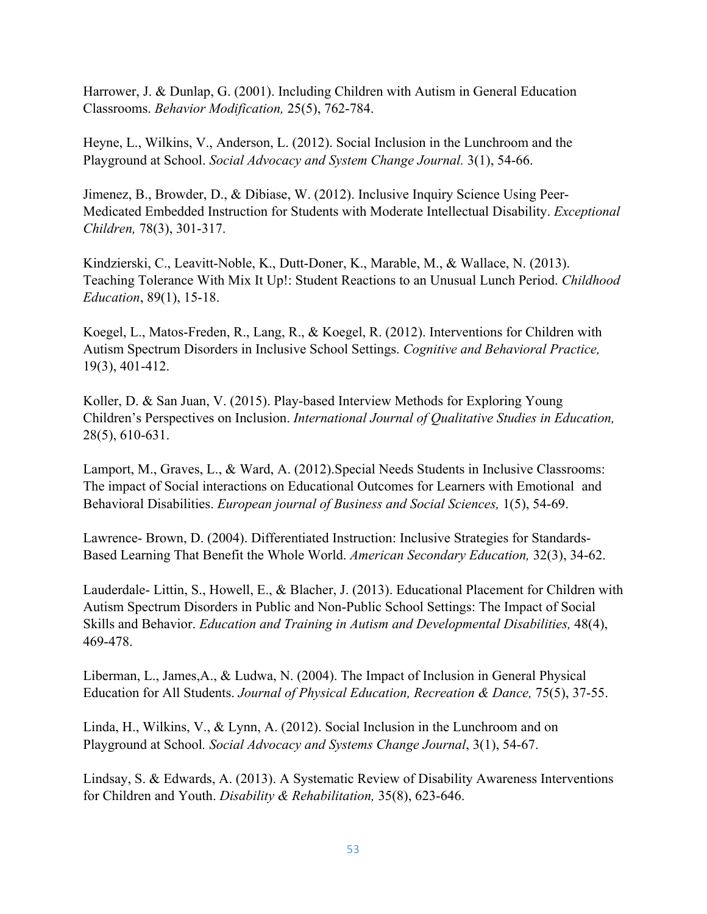Harrower, J. & Dunlap, G. (2001). Including Children with Autism in General Education Classrooms. *Behavior Modification,* 25(5), 762-784.

Heyne, L., Wilkins, V., Anderson, L. (2012). Social Inclusion in the Lunchroom and the Playground at School. *Social Advocacy and System Change Journal.* 3(1), 54-66.

Jimenez, B., Browder, D., & Dibiase, W. (2012). Inclusive Inquiry Science Using Peer-Medicated Embedded Instruction for Students with Moderate Intellectual Disability. *Exceptional Children,* 78(3), 301-317.

Kindzierski, C., Leavitt-Noble, K., Dutt-Doner, K., Marable, M., & Wallace, N. (2013). Teaching Tolerance With Mix It Up!: Student Reactions to an Unusual Lunch Period. *Childhood Education*, 89(1), 15-18.

Koegel, L., Matos-Freden, R., Lang, R., & Koegel, R. (2012). Interventions for Children with Autism Spectrum Disorders in Inclusive School Settings. *Cognitive and Behavioral Practice,*  19(3), 401-412.

Koller, D. & San Juan, V. (2015). Play-based Interview Methods for Exploring Young Children's Perspectives on Inclusion. *International Journal of Qualitative Studies in Education,*  28(5), 610-631.

Lamport, M., Graves, L., & Ward, A. (2012).Special Needs Students in Inclusive Classrooms: The impact of Social interactions on Educational Outcomes for Learners with Emotional and Behavioral Disabilities. *European journal of Business and Social Sciences,* 1(5), 54-69.

Lawrence- Brown, D. (2004). Differentiated Instruction: Inclusive Strategies for Standards-Based Learning That Benefit the Whole World. *American Secondary Education,* 32(3), 34-62.

Lauderdale- Littin, S., Howell, E., & Blacher, J. (2013). Educational Placement for Children with Autism Spectrum Disorders in Public and Non-Public School Settings: The Impact of Social Skills and Behavior. *Education and Training in Autism and Developmental Disabilities,* 48(4), 469-478.

Liberman, L., James,A., & Ludwa, N. (2004). The Impact of Inclusion in General Physical Education for All Students. *Journal of Physical Education, Recreation & Dance, 75(5), 37-55.* 

Linda, H., Wilkins, V., & Lynn, A. (2012). Social Inclusion in the Lunchroom and on Playground at School*. Social Advocacy and Systems Change Journal*, 3(1), 54-67.

Lindsay, S. & Edwards, A. (2013). A Systematic Review of Disability Awareness Interventions for Children and Youth. *Disability & Rehabilitation,* 35(8), 623-646.